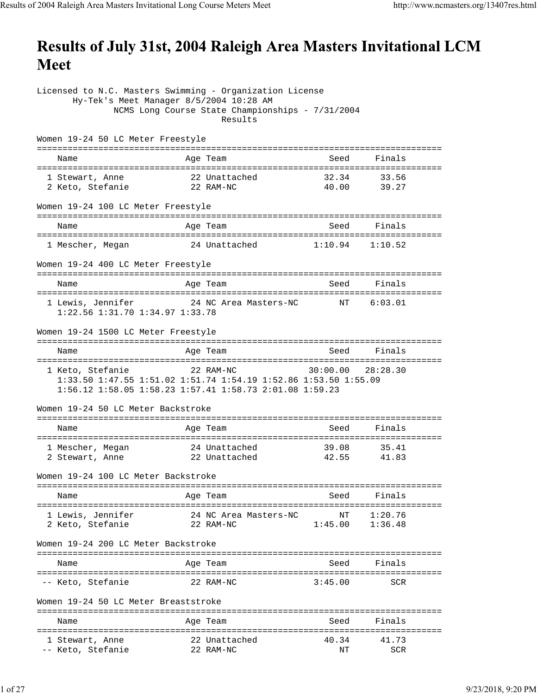## Results of July 31st, 2004 Raleigh Area Masters Invitational LCM **Meet**

Licensed to N.C. Masters Swimming - Organization License Hy-Tek's Meet Manager 8/5/2004 10:28 AM NCMS Long Course State Championships - 7/31/2004 Results Women 19-24 50 LC Meter Freestyle =============================================================================== Name **Age Team** Age Team Seed Finals =============================================================================== 1 Stewart, Anne 22 Unattached 32.34 33.56 2 Keto, Stefanie 22 RAM-NC 40.00 39.27 Women 19-24 100 LC Meter Freestyle =============================================================================== Name **Age Team** Age Team Seed Finals =============================================================================== 1 Mescher, Megan 24 Unattached 1:10.94 1:10.52 Women 19-24 400 LC Meter Freestyle =============================================================================== Name **Age Team** Age Team Seed Finals =============================================================================== 1 Lewis, Jennifer 24 NC Area Masters-NC NT 6:03.01 1:22.56 1:31.70 1:34.97 1:33.78 Women 19-24 1500 LC Meter Freestyle =============================================================================== Name **Age Team** Age Team Seed Finals =============================================================================== 1 Keto, Stefanie 22 RAM-NC 1:33.50 1:47.55 1:51.02 1:51.74 1:54.19 1:52.86 1:53.50 1:55.09 1:56.12 1:58.05 1:58.23 1:57.41 1:58.73 2:01.08 1:59.23 Women 19-24 50 LC Meter Backstroke =============================================================================== Name **Age Team** Age Team Seed Finals =============================================================================== 1 Mescher, Megan 24 Unattached 2 Stewart, Anne 22 Unattached 42.55 41.83 Women 19-24 100 LC Meter Backstroke =============================================================================== Name **Age Team** Age Team Seed Finals =============================================================================== 1 Lewis, Jennifer 24 NC Area Masters-NC NT 1:20.76 2 Keto, Stefanie 22 RAM-NC 1:45.00 1:36.48 Women 19-24 200 LC Meter Backstroke =============================================================================== Name and Age Team and Seed Finals =============================================================================== -- Keto, Stefanie 22 RAM-NC 3:45.00 SCR Women 19-24 50 LC Meter Breaststroke =============================================================================== Name **Age Team** Seed Finals =============================================================================== 1 Stewart, Anne 22 Unattached 40.34 41.73 -- Keto, Stefanie 22 RAM-NC NT SCR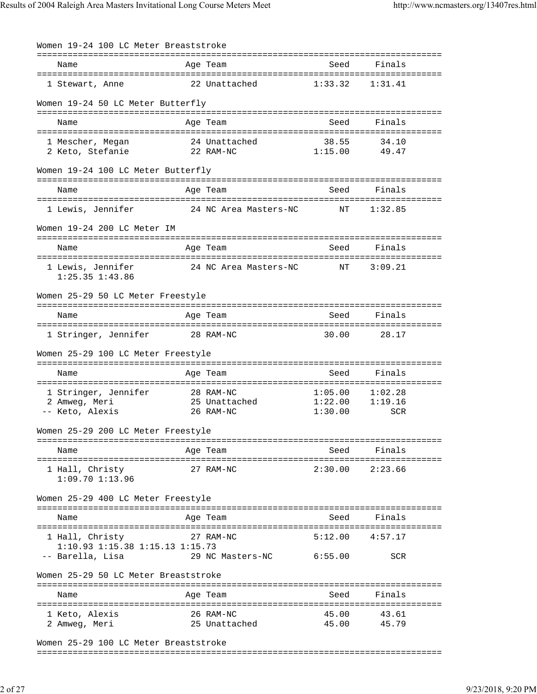| Women 19-24 100 LC Meter Breaststroke                      |                                         |                               |                           |
|------------------------------------------------------------|-----------------------------------------|-------------------------------|---------------------------|
| Name                                                       | Age Team                                | Seed                          | Finals                    |
| 1 Stewart, Anne                                            | 22 Unattached                           | 1:33.32                       | 1:31.41                   |
| Women 19-24 50 LC Meter Butterfly                          |                                         |                               |                           |
| Name                                                       | Age Team                                | Seed                          | Finals                    |
| 1 Mescher, Megan<br>2 Keto, Stefanie                       | 24 Unattached<br>22 RAM-NC              | 38.55<br>1:15.00              | 34.10<br>49.47            |
| Women 19-24 100 LC Meter Butterfly                         |                                         |                               |                           |
| Name                                                       | Age Team                                | Seed                          | Finals                    |
| 1 Lewis, Jennifer                                          | 24 NC Area Masters-NC                   | NΤ                            | 1:32.85                   |
| Women 19-24 200 LC Meter IM                                |                                         |                               |                           |
| Name                                                       | Age Team                                | Seed                          | Finals                    |
| 1 Lewis, Jennifer<br>1:25.35 1:43.86                       | 24 NC Area Masters-NC                   | NΤ                            | 3:09.21                   |
| Women 25-29 50 LC Meter Freestyle                          |                                         |                               |                           |
| Name                                                       | Age Team                                | Seed                          | Finals                    |
| 1 Stringer, Jennifer                                       | 28 RAM-NC                               | 30.00                         | 28.17                     |
| Women 25-29 100 LC Meter Freestyle                         |                                         |                               |                           |
| Name                                                       | Age Team                                | Seed                          | Finals                    |
| 1 Stringer, Jennifer<br>2 Amweg, Meri<br>-- Keto, Alexis   | 28 RAM-NC<br>25 Unattached<br>26 RAM-NC | 1:05.00<br>1:22.00<br>1:30.00 | 1:02.28<br>1:19.16<br>SCR |
| Women 25-29 200 LC Meter Freestyle                         |                                         |                               |                           |
| Name                                                       | Age Team                                | Seed                          | Finals                    |
| 1 Hall, Christy<br>$1:09.70$ $1:13.96$                     | 27 RAM-NC                               |                               | $2:30.00$ $2:23.66$       |
| Women 25-29 400 LC Meter Freestyle                         |                                         |                               |                           |
| Name                                                       | Age Team                                | Seed                          | Finals                    |
| 1 Hall, Christy<br>$1:10.93$ $1:15.38$ $1:15.13$ $1:15.73$ | 27 RAM-NC                               | 5:12.00                       | 4:57.17                   |
| -- Barella, Lisa                                           | 29 NC Masters-NC                        | 6:55.00                       | SCR                       |
| Women 25-29 50 LC Meter Breaststroke                       |                                         |                               |                           |
| Name                                                       | Age Team                                | Seed                          | Finals                    |
| 1 Keto, Alexis<br>2 Amweg, Meri                            | 26 RAM-NC<br>25 Unattached              | 45.00<br>45.00                | 43.61<br>45.79            |
|                                                            |                                         |                               |                           |

Women 25-29 100 LC Meter Breaststroke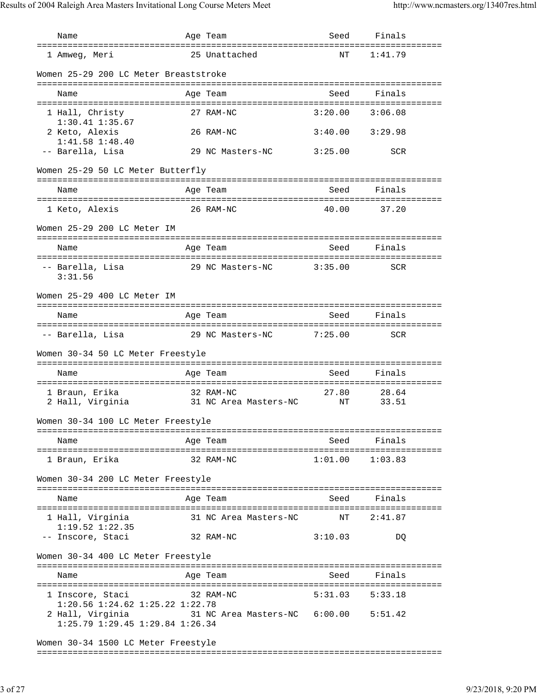Name Age Team Seed Finals =============================================================================== 1 Amweg, Meri 25 Unattached NT 1:41.79 Women 25-29 200 LC Meter Breaststroke =============================================================================== Name Age Team Seed Finals =============================================================================== 1 Hall, Christy 27 RAM-NC 3:20.00 3:06.08 1:30.41 1:35.67 2 Keto, Alexis 26 RAM-NC 3:40.00 3:29.98 1:41.58 1:48.40 -- Barella, Lisa 29 NC Masters-NC 3:25.00 SCR Women 25-29 50 LC Meter Butterfly =============================================================================== Name **Age Team** Age Team Seed Finals =============================================================================== 1 Keto, Alexis 26 RAM-NC 40.00 37.20 Women 25-29 200 LC Meter IM =============================================================================== Name **Age Team** Seed Finals =============================================================================== -- Barella, Lisa and 29 NC Masters-NC 3:35.00 SCR 3:31.56 Women 25-29 400 LC Meter IM =============================================================================== Name **Age Team** Age Team Seed Finals =============================================================================== -- Barella, Lisa 29 NC Masters-NC 7:25.00 SCR Women 30-34 50 LC Meter Freestyle =============================================================================== Age Team Seed Finals =============================================================================== 1 Braun, Erika 32 RAM-NC 2 Hall, Virginia 31 NC Area Masters-NC NT 33.51 Women 30-34 100 LC Meter Freestyle =============================================================================== Name and Age Team and Seed Finals =============================================================================== 1 Braun, Erika 32 RAM-NC 1:01.00 1:03.83 Women 30-34 200 LC Meter Freestyle =============================================================================== Name **Age Team** Seed Finals =============================================================================== 1 Hall, Virginia 31 NC Area Masters-NC NT 2:41.87 1:19.52 1:22.35 -- Inscore, Staci 32 RAM-NC 3:10.03 DQ Women 30-34 400 LC Meter Freestyle =============================================================================== Name Age Team Seed Finals =============================================================================== 1 Inscore, Staci 32 RAM-NC 5:31.03 5:33.18 1:20.56 1:24.62 1:25.22 1:22.78 2 Hall, Virginia 31 NC Area Masters-NC 6:00.00 5:51.42 1:25.79 1:29.45 1:29.84 1:26.34 Women 30-34 1500 LC Meter Freestyle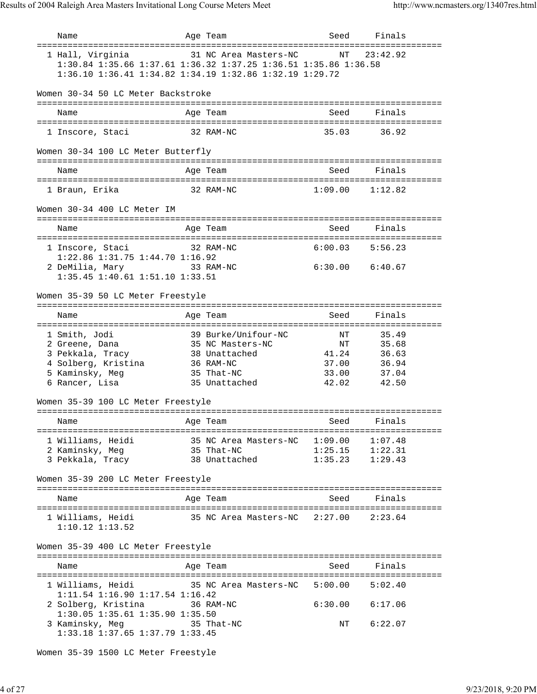| Name                                                                                                            | Age Team                                                                                                                                            | Seed                                         | Finals<br>--------                                 |  |
|-----------------------------------------------------------------------------------------------------------------|-----------------------------------------------------------------------------------------------------------------------------------------------------|----------------------------------------------|----------------------------------------------------|--|
| 1 Hall, Virginia                                                                                                | 31 NC Area Masters-NC<br>1:30.84 1:35.66 1:37.61 1:36.32 1:37.25 1:36.51 1:35.86 1:36.58<br>1:36.10 1:36.41 1:34.82 1:34.19 1:32.86 1:32.19 1:29.72 | NT                                           | 23:42.92                                           |  |
| Women 30-34 50 LC Meter Backstroke                                                                              |                                                                                                                                                     |                                              |                                                    |  |
| Name                                                                                                            | Age Team                                                                                                                                            | Seed                                         | Finals                                             |  |
| 1 Inscore, Staci                                                                                                | 32 RAM-NC                                                                                                                                           | 35.03                                        | 36.92                                              |  |
| Women 30-34 100 LC Meter Butterfly                                                                              |                                                                                                                                                     |                                              |                                                    |  |
| Name                                                                                                            | Age Team                                                                                                                                            |                                              | Seed Finals                                        |  |
| 1 Braun, Erika                                                                                                  | 32 RAM-NC                                                                                                                                           |                                              | $1:09.00$ $1:12.82$                                |  |
| Women 30-34 400 LC Meter IM                                                                                     |                                                                                                                                                     |                                              |                                                    |  |
| Name                                                                                                            | Age Team                                                                                                                                            | Seed Seed                                    | Finals                                             |  |
| 1 Inscore, Staci                                                                                                | 32 RAM-NC                                                                                                                                           |                                              | $6:00.03$ $5:56.23$                                |  |
| 1:22.86 1:31.75 1:44.70 1:16.92<br>2 DeMilia, Mary<br>1:35.45 1:40.61 1:51.10 1:33.51                           | 33 RAM-NC                                                                                                                                           |                                              | 6:30.00 6:40.67                                    |  |
| Women 35-39 50 LC Meter Freestyle                                                                               |                                                                                                                                                     |                                              |                                                    |  |
| Name                                                                                                            | Age Team                                                                                                                                            | Seed                                         | Finals                                             |  |
| 1 Smith, Jodi<br>2 Greene, Dana<br>3 Pekkala, Tracy<br>4 Solberg, Kristina<br>5 Kaminsky, Meg<br>6 Rancer, Lisa | 39 Burke/Unifour-NC<br>35 NC Masters-NC<br>38 Unattached<br>36 RAM-NC<br>35 That-NC<br>35 Unattached                                                | NT<br>NT<br>41.24<br>37.00<br>33.00<br>42.02 | 35.49<br>35.68<br>36.63<br>36.94<br>37.04<br>42.50 |  |
| Women 35-39 100 LC Meter Freestyle                                                                              |                                                                                                                                                     |                                              |                                                    |  |
| Name                                                                                                            | Age Team and Seed Finals                                                                                                                            |                                              |                                                    |  |
| 2 Kaminsky, Meg 35 That-NC                                                                                      | 1 Williams, Heidi 35 NC Area Masters-NC 1:09.00 1:07.48<br>3 Pekkala, Tracy 38 Unattached 1:35.23 1:29.43                                           |                                              | $1:25.15$ $1:22.31$                                |  |
| Women 35-39 200 LC Meter Freestyle                                                                              |                                                                                                                                                     |                                              |                                                    |  |
| Name                                                                                                            | Age Team                                                                                                                                            | Seed                                         | Finals                                             |  |
| $1:10.12$ $1:13.52$                                                                                             | 1 Williams, Heidi 35 NC Area Masters-NC 2:27.00 2:23.64                                                                                             |                                              |                                                    |  |
| Women 35-39 400 LC Meter Freestyle                                                                              |                                                                                                                                                     |                                              |                                                    |  |
| Name                                                                                                            | Age Team                                                                                                                                            |                                              | Seed Finals                                        |  |
|                                                                                                                 | 1 Williams, Heidi 35 NC Area Masters-NC 5:00.00 5:02.40                                                                                             |                                              |                                                    |  |
| 1:11.54 1:16.90 1:17.54 1:16.42                                                                                 |                                                                                                                                                     |                                              | $6:30.00$ $6:17.06$                                |  |
| 1:30.05 1:35.61 1:35.90 1:35.50<br>3 Kaminsky, Meg 35 That-NC<br>1:33.18 1:37.65 1:37.79 1:33.45                |                                                                                                                                                     |                                              | NT 6:22.07                                         |  |

Women 35-39 1500 LC Meter Freestyle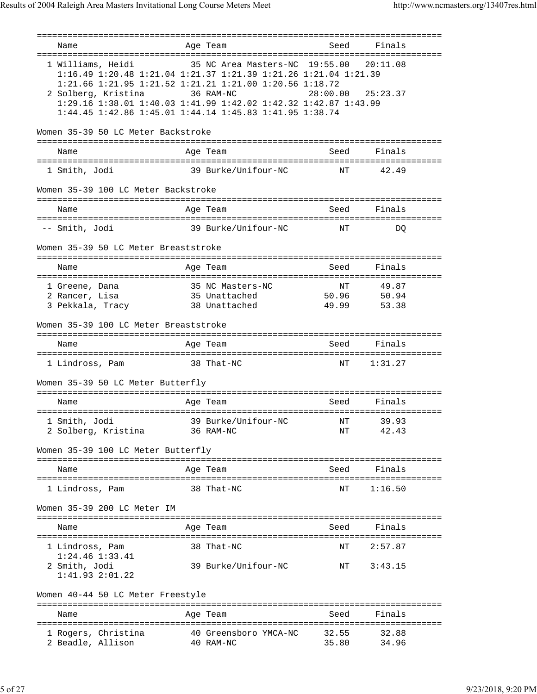=============================================================================== Name Age Team Seed Finals =============================================================================== 1 Williams, Heidi 35 NC Area Masters-NC 19:55.00 20:11.08 1:16.49 1:20.48 1:21.04 1:21.37 1:21.39 1:21.26 1:21.04 1:21.39 1:21.66 1:21.95 1:21.52 1:21.21 1:21.00 1:20.56 1:18.72 2 Solberg, Kristina 36 RAM-NC 28:00.00 25:23.37 1:29.16 1:38.01 1:40.03 1:41.99 1:42.02 1:42.32 1:42.87 1:43.99 1:44.45 1:42.86 1:45.01 1:44.14 1:45.83 1:41.95 1:38.74 Women 35-39 50 LC Meter Backstroke =============================================================================== Name **Age Team** Age Team Seed Finals =============================================================================== 1 Smith, Jodi 39 Burke/Unifour-NC NT 42.49 Women 35-39 100 LC Meter Backstroke =============================================================================== Name **Age Team** Age Team Seed Finals =============================================================================== -- Smith, Jodi 39 Burke/Unifour-NC NT DQ Women 35-39 50 LC Meter Breaststroke =============================================================================== Name **Age Team** Age Team Seed Finals =============================================================================== 1 Greene, Dana 35 NC Masters-NC NT 49.87 2 Rancer, Lisa 35 Unattached 50.96 50.94 3 Pekkala, Tracy 38 Unattached 49.99 53.38 Women 35-39 100 LC Meter Breaststroke =============================================================================== Name Age Team Seed Finals =============================================================================== 1 Lindross, Pam 38 That-NC NT 1:31.27 Women 35-39 50 LC Meter Butterfly =============================================================================== Name and Age Team and Seed Finals =============================================================================== 1 Smith, Jodi 39 Burke/Unifour-NC NT 39.93 2 Solberg, Kristina 36 RAM-NC NT 42.43 Women 35-39 100 LC Meter Butterfly =============================================================================== Name **Age Team** Age Team Seed Finals =============================================================================== 1 Lindross, Pam 38 That-NC NT 1:16.50 Women 35-39 200 LC Meter IM =============================================================================== Name Age Team Seed Finals =============================================================================== 1 Lindross, Pam 38 That-NC NT 2:57.87 1:24.46 1:33.41 2 Smith, Jodi 39 Burke/Unifour-NC NT 3:43.15 1:41.93 2:01.22 Women 40-44 50 LC Meter Freestyle =============================================================================== Name **Age Team** Age Team Seed Finals =============================================================================== 1 Rogers, Christina 40 Greensboro YMCA-NC 32.55 32.88 2 Beadle, Allison 40 RAM-NC 35.80 34.96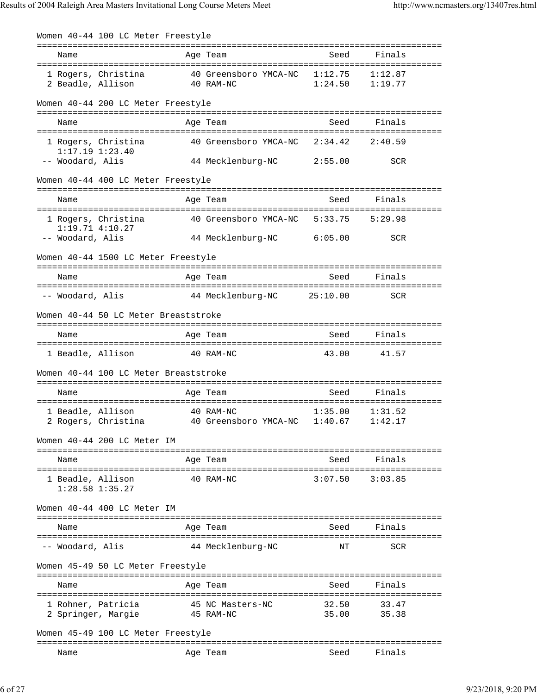Women 40-44 100 LC Meter Freestyle =============================================================================== Name **Age Team** Seed Finals =============================================================================== 1 Rogers, Christina 40 Greensboro YMCA-NC 1:12.75 1:12.87 2 Beadle, Allison 40 RAM-NC 1:24.50 1:19.77 Women 40-44 200 LC Meter Freestyle =============================================================================== Name Age Team Seed Finals =============================================================================== 1 Rogers, Christina 40 Greensboro YMCA-NC 2:34.42 2:40.59 1:17.19 1:23.40 44 Mecklenburg-NC 2:55.00 SCR Women 40-44 400 LC Meter Freestyle =============================================================================== Name **Age Team** Age Team Seed Finals =============================================================================== 1 Rogers, Christina 40 Greensboro YMCA-NC 5:33.75 5:29.98 1:19.71 4:10.27 -- Woodard, Alis 44 Mecklenburg-NC 6:05.00 SCR Women 40-44 1500 LC Meter Freestyle =============================================================================== Name **Age Team** Age Team Seed Finals =============================================================================== -- Woodard, Alis 44 Mecklenburg-NC 25:10.00 SCR Women 40-44 50 LC Meter Breaststroke =============================================================================== Name Age Team Seed Finals =============================================================================== 1 Beadle, Allison 40 RAM-NC 43.00 41.57 Women 40-44 100 LC Meter Breaststroke =============================================================================== Name **Age Team** Age Team Seed Finals =============================================================================== 1 Beadle, Allison 40 RAM-NC 1:35.00 1:31.52 2 Rogers, Christina 40 Greensboro YMCA-NC 1:40.67 1:42.17 Women 40-44 200 LC Meter IM =============================================================================== Name **Age Team** Age Team Seed Finals =============================================================================== 1 Beadle, Allison 40 RAM-NC 3:07.50 3:03.85 1:28.58 1:35.27 Women 40-44 400 LC Meter IM =============================================================================== Name Age Team Seed Finals =============================================================================== -- Woodard, Alis 44 Mecklenburg-NC NT SCR Women 45-49 50 LC Meter Freestyle =============================================================================== Name Age Team Seed Finals =============================================================================== 1 Rohner, Patricia 45 NC Masters-NC 32.50 33.47 2 Springer, Margie 45 RAM-NC 35.00 35.38 Women 45-49 100 LC Meter Freestyle =============================================================================== Name **Age Team** Age Team Seed Finals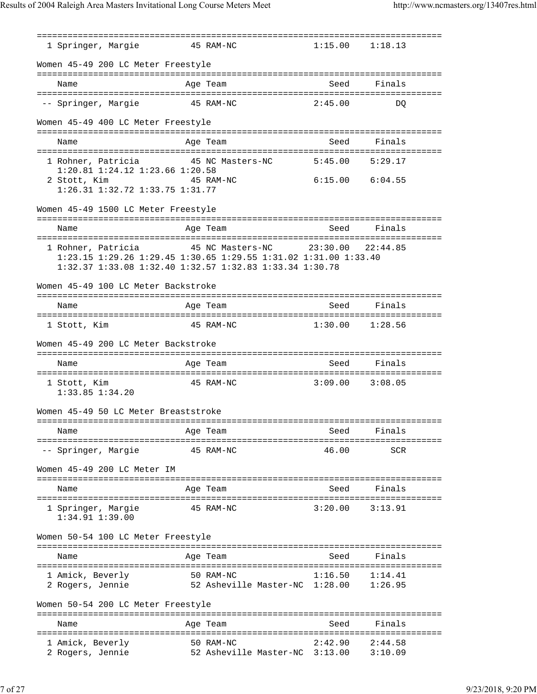=============================================================================== 1 Springer, Margie 45 RAM-NC Women 45-49 200 LC Meter Freestyle =============================================================================== Name **Age Team** Age Team Seed Finals =============================================================================== -- Springer, Margie 45 RAM-NC 2:45.00 DQ Women 45-49 400 LC Meter Freestyle =============================================================================== Name **Age Team** Age Team Seed Finals =============================================================================== 1 Rohner, Patricia 45 NC Masters-NC 5:45.00 5:29.17 1:20.81 1:24.12 1:23.66 1:20.58 2 Stott, Kim 45 RAM-NC 6:15.00 6:04.55 1:26.31 1:32.72 1:33.75 1:31.77 Women 45-49 1500 LC Meter Freestyle =============================================================================== Name **Age Team** Age Team Seed Finals =============================================================================== 1 Rohner, Patricia 45 NC Masters-NC 23:30.00 22:44.85 1:23.15 1:29.26 1:29.45 1:30.65 1:29.55 1:31.02 1:31.00 1:33.40 1:32.37 1:33.08 1:32.40 1:32.57 1:32.83 1:33.34 1:30.78 Women 45-49 100 LC Meter Backstroke =============================================================================== Name **Age Team** Age Team Seed Finals =============================================================================== 1 Stott, Kim 45 RAM-NC 1:30.00 1:28.56 Women 45-49 200 LC Meter Backstroke =============================================================================== Name Age Team Seed Finals =============================================================================== 1 Stott, Kim 45 RAM-NC 3:09.00 3:08.05 1:33.85 1:34.20 Women 45-49 50 LC Meter Breaststroke =============================================================================== Name Age Team Seed Finals =============================================================================== -- Springer, Margie 45 RAM-NC 46.00 SCR Women 45-49 200 LC Meter IM =============================================================================== Name Age Team Seed Finals =============================================================================== 1 Springer, Margie 45 RAM-NC 3:20.00 3:13.91 1:34.91 1:39.00 Women 50-54 100 LC Meter Freestyle =============================================================================== Name **Age Team** Age Team Seed Finals =============================================================================== 1 Amick, Beverly 50 RAM-NC 1:16.50 1:14.41 2 Rogers, Jennie 52 Asheville Master-NC 1:28.00 1:26.95 Women 50-54 200 LC Meter Freestyle =============================================================================== Name **Age Team** Age Team Seed Finals =============================================================================== 1 Amick, Beverly 50 RAM-NC 2:42.90 2:44.58 2 Rogers, Jennie 52 Asheville Master-NC 3:13.00 3:10.09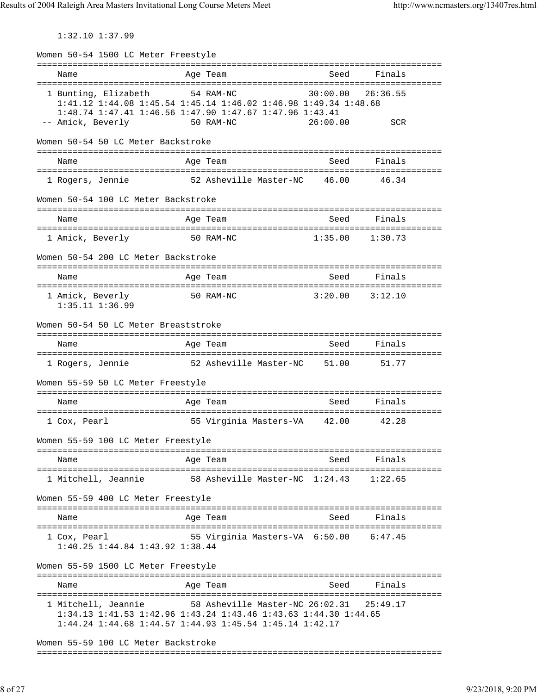1:32.10 1:37.99

Women 50-54 1500 LC Meter Freestyle =============================================================================== Name **Age Team** Age Team Seed Finals =============================================================================== 1 Bunting, Elizabeth 54 RAM-NC 30:00.00 26:36.55 1:41.12 1:44.08 1:45.54 1:45.14 1:46.02 1:46.98 1:49.34 1:48.68 1:48.74 1:47.41 1:46.56 1:47.90 1:47.67 1:47.96 1:43.41 -- Amick, Beverly 50 RAM-NC 26:00.00 SCR Women 50-54 50 LC Meter Backstroke =============================================================================== Name **Age Team** Age Team Seed Finals =============================================================================== 1 Rogers, Jennie 52 Asheville Master-NC 46.00 46.34 Women 50-54 100 LC Meter Backstroke =============================================================================== Name Age Team Seed Finals =============================================================================== 1 Amick, Beverly 50 RAM-NC 1:35.00 1:30.73 Women 50-54 200 LC Meter Backstroke =============================================================================== Name Age Team Seed Finals =============================================================================== 1 Amick, Beverly 50 RAM-NC 3:20.00 3:12.10 1:35.11 1:36.99 Women 50-54 50 LC Meter Breaststroke =============================================================================== Name Age Team Seed Finals =============================================================================== 1 Rogers, Jennie 52 Asheville Master-NC 51.00 51.77 Women 55-59 50 LC Meter Freestyle =============================================================================== Name **Age Team** Age Team Seed Finals =============================================================================== 1 Cox, Pearl 55 Virginia Masters-VA 42.00 42.28 Women 55-59 100 LC Meter Freestyle =============================================================================== Name **Age Team** Seed Finals =============================================================================== 1 Mitchell, Jeannie 58 Asheville Master-NC 1:24.43 1:22.65 Women 55-59 400 LC Meter Freestyle =============================================================================== Name Age Team Seed Finals =============================================================================== 1 Cox, Pearl 55 Virginia Masters-VA 6:50.00 6:47.45 1:40.25 1:44.84 1:43.92 1:38.44 Women 55-59 1500 LC Meter Freestyle =============================================================================== Name Age Team Seed Finals =============================================================================== 1 Mitchell, Jeannie 58 Asheville Master-NC 26:02.31 25:49.17 1:34.13 1:41.53 1:42.96 1:43.24 1:43.46 1:43.63 1:44.30 1:44.65 1:44.24 1:44.68 1:44.57 1:44.93 1:45.54 1:45.14 1:42.17 Women 55-59 100 LC Meter Backstroke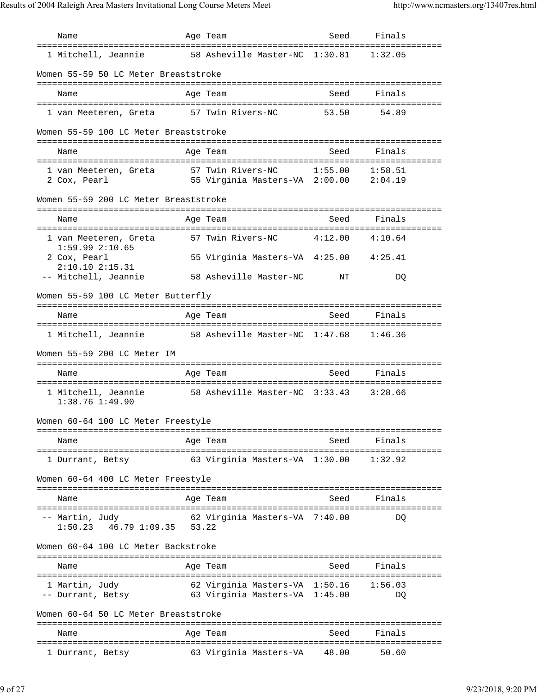Name Age Team Seed Finals =============================================================================== 1 Mitchell, Jeannie 58 Asheville Master-NC 1:30.81 1:32.05 Women 55-59 50 LC Meter Breaststroke =============================================================================== Name Age Team Seed Finals =============================================================================== 1 van Meeteren, Greta 57 Twin Rivers-NC 53.50 54.89 Women 55-59 100 LC Meter Breaststroke =============================================================================== Name **Age Team** Age Team Seed Finals =============================================================================== 1 van Meeteren, Greta 57 Twin Rivers-NC 1:55.00 1:58.51 2 Cox, Pearl 55 Virginia Masters-VA 2:00.00 2:04.19 Women 55-59 200 LC Meter Breaststroke =============================================================================== Name Age Team Seed Finals =============================================================================== 1 van Meeteren, Greta 57 Twin Rivers-NC 4:12.00 4:10.64 1:59.99 2:10.65 2 Cox, Pearl 55 Virginia Masters-VA 4:25.00 4:25.41 2:10.10 2:15.31<br>-- Mitchell, Jeannie 58 Asheville Master-NC NT DQ Women 55-59 100 LC Meter Butterfly =============================================================================== Name Age Team Seed Finals =============================================================================== 1 Mitchell, Jeannie 58 Asheville Master-NC 1:47.68 1:46.36 Women 55-59 200 LC Meter IM =============================================================================== Name **Age Team** Age Team Seed Finals =============================================================================== 1 Mitchell, Jeannie 58 Asheville Master-NC 3:33.43 3:28.66 1:38.76 1:49.90 Women 60-64 100 LC Meter Freestyle =============================================================================== Name **Age Team** Seed Finals =============================================================================== 1 Durrant, Betsy 63 Virginia Masters-VA 1:30.00 1:32.92 Women 60-64 400 LC Meter Freestyle =============================================================================== Name **Age Team** Seed Finals =============================================================================== -- Martin, Judy 62 Virginia Masters-VA 7:40.00 DQ 1:50.23 46.79 1:09.35 53.22 Women 60-64 100 LC Meter Backstroke =============================================================================== Name Age Team Seed Finals =============================================================================== 1 Martin, Judy 62 Virginia Masters-VA 1:50.16 1:56.03 -- Durrant, Betsy 63 Virginia Masters-VA 1:45.00 DQ Women 60-64 50 LC Meter Breaststroke =============================================================================== Name and Age Team and Seed Finals =============================================================================== 1 Durrant, Betsy 63 Virginia Masters-VA 48.00 50.60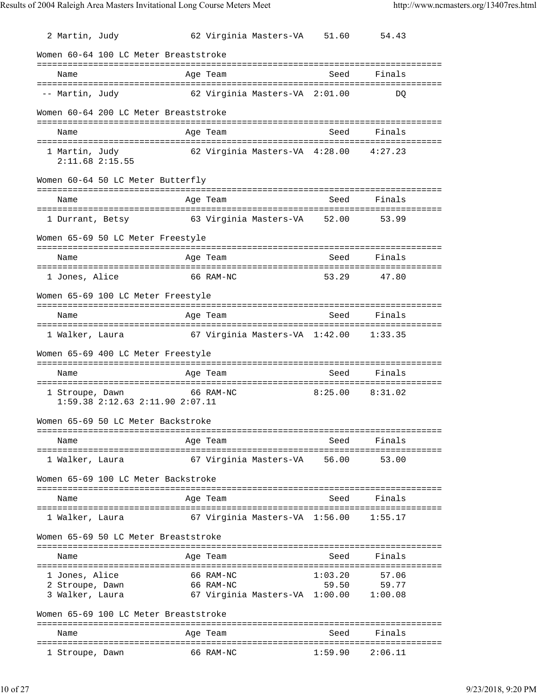2 Martin, Judy 62 Virginia Masters-VA 51.60 54.43 Women 60-64 100 LC Meter Breaststroke =============================================================================== Name **Age Team** Age Team Seed Finals =============================================================================== -- Martin, Judy 62 Virginia Masters-VA 2:01.00 DQ Women 60-64 200 LC Meter Breaststroke =============================================================================== Name Age Team Seed Finals =============================================================================== 1 Martin, Judy 62 Virginia Masters-VA 4:28.00 4:27.23 2:11.68 2:15.55 Women 60-64 50 LC Meter Butterfly =============================================================================== Name **Age Team** Age Team Seed Finals =============================================================================== 1 Durrant, Betsy 63 Virginia Masters-VA 52.00 53.99 Women 65-69 50 LC Meter Freestyle =============================================================================== Name **Age Team** Age Team Seed Finals =============================================================================== 1 Jones, Alice 66 RAM-NC 53.29 47.80 Women 65-69 100 LC Meter Freestyle =============================================================================== Name Age Team Seed Finals =============================================================================== 1 Walker, Laura 67 Virginia Masters-VA 1:42.00 1:33.35 Women 65-69 400 LC Meter Freestyle =============================================================================== Age Team Seed Finals =============================================================================== 1 Stroupe, Dawn 66 RAM-NC 8:25.00 8:31.02 1:59.38 2:12.63 2:11.90 2:07.11 Women 65-69 50 LC Meter Backstroke =============================================================================== Name **Age Team** Seed Finals =============================================================================== 1 Walker, Laura 67 Virginia Masters-VA 56.00 53.00 Women 65-69 100 LC Meter Backstroke =============================================================================== Name **Age Team** Age Team Seed Finals =============================================================================== 1 Walker, Laura 67 Virginia Masters-VA 1:56.00 1:55.17 Women 65-69 50 LC Meter Breaststroke =============================================================================== Name Age Team Seed Finals =============================================================================== 1 Jones, Alice 66 RAM-NC 1:03.20 57.06 2 Stroupe, Dawn 66 RAM-NC 59.50 59.77<br>3 Walker, Laura 67 Virginia Masters-VA 1:00.00 1:00.08 67 Virginia Masters-VA 1:00.00 1:00.08 Women 65-69 100 LC Meter Breaststroke =============================================================================== Name and a settlement of Age Team =============================================================================== 1 Stroupe, Dawn 66 RAM-NC 1:59.90 2:06.11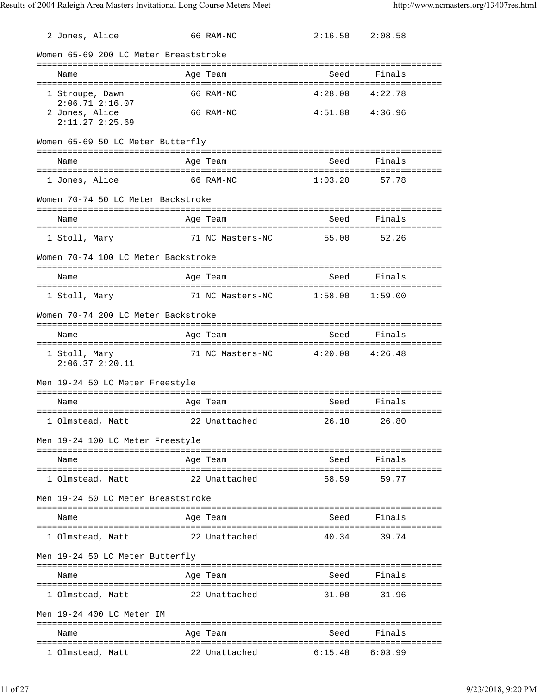| 2 Jones, Alice                         | 66 RAM-NC                            | $2:16.50$ $2:08.58$ |             |
|----------------------------------------|--------------------------------------|---------------------|-------------|
| Women 65-69 200 LC Meter Breaststroke  |                                      |                     |             |
| Name                                   | Age Team                             | Seed                | Finals      |
|                                        |                                      |                     |             |
| 1 Stroupe, Dawn<br>$2:06.71$ $2:16.07$ | 66 RAM-NC                            | 4:28.00             | 4:22.78     |
| 2 Jones, Alice<br>$2:11.27$ $2:25.69$  | 66 RAM-NC                            | $4:51.80$ $4:36.96$ |             |
| Women 65-69 50 LC Meter Butterfly      |                                      |                     |             |
| Name                                   | Age Team                             | Seed                | Finals      |
| 1 Jones, Alice                         | 66 RAM-NC                            | 1:03.20             | 57.78       |
| Women 70-74 50 LC Meter Backstroke     |                                      |                     |             |
| Name                                   | Age Team                             | Seed                | Finals      |
|                                        |                                      |                     |             |
| 1 Stoll, Mary                          | 71 NC Masters-NC                     | 55.00               | 52.26       |
| Women 70-74 100 LC Meter Backstroke    |                                      |                     |             |
| Name                                   | Age Team                             | Seed                | Finals      |
|                                        |                                      |                     |             |
| 1 Stoll, Mary                          | 71 NC Masters-NC                     | 1:58.00             | 1:59.00     |
| Women 70-74 200 LC Meter Backstroke    |                                      |                     |             |
| Name                                   | Age Team                             | Seed                | Finals      |
|                                        |                                      |                     |             |
|                                        |                                      |                     |             |
| 1 Stoll, Mary<br>$2:06.37$ $2:20.11$   | 71 NC Masters-NC $4:20.00$ $4:26.48$ |                     |             |
| Men 19-24 50 LC Meter Freestyle        |                                      |                     |             |
| Name                                   | Age Team                             | Seed                | Finals      |
|                                        |                                      |                     |             |
|                                        |                                      |                     |             |
| Men 19-24 100 LC Meter Freestyle       |                                      |                     |             |
| Name                                   | Age Team                             |                     | Seed Finals |
| 1 Olmstead, Matt                       | 22 Unattached                        | 58.59               | 59.77       |
|                                        |                                      |                     |             |
| Men 19-24 50 LC Meter Breaststroke     |                                      |                     |             |
| Name                                   | Age Team                             | Seed                | Finals      |
| 1 Olmstead, Matt                       | 22 Unattached                        | 40.34               | 39.74       |
| Men 19-24 50 LC Meter Butterfly        |                                      |                     |             |
| Name                                   | Age Team                             |                     | Seed Finals |
| 1 Olmstead, Matt                       | 22 Unattached                        | 31.00               | 31.96       |
| Men 19-24 400 LC Meter IM              |                                      |                     |             |
| Name                                   | Age Team                             | Seed                | Finals      |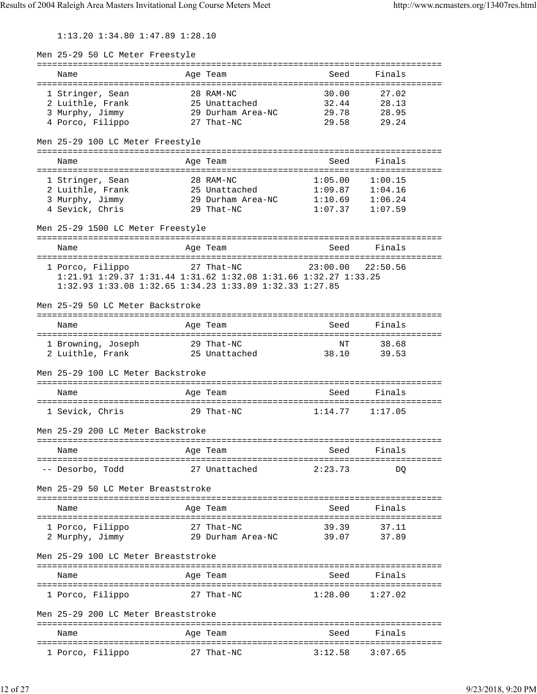1:13.20 1:34.80 1:47.89 1:28.10

| Men 25-29 50 LC Meter Freestyle                                 |                         |             |                                            |  |
|-----------------------------------------------------------------|-------------------------|-------------|--------------------------------------------|--|
| Name                                                            | Age Team                | Seed        | Finals                                     |  |
| 1 Stringer, Sean                                                | 28 RAM-NC               | 30.00       | 27.02                                      |  |
| 2 Luithle, Frank                                                | 25 Unattached           | 32.44       | 28.13                                      |  |
| 3 Murphy, Jimmy                                                 | 29 Durham Area-NC 29.78 |             | 28.95                                      |  |
| 4 Porco, Filippo                                                | 27 That-NC              | 29.58       | 29.24                                      |  |
| Men 25-29 100 LC Meter Freestyle                                |                         |             |                                            |  |
| Name                                                            | Age Team                | Seed        | Finals                                     |  |
| 1 Stringer, Sean                                                | 28 RAM-NC               | 1:05.00     | 1:00.15                                    |  |
| 2 Luithle, Frank                                                | 25 Unattached           |             |                                            |  |
| 2 Luithle, Frank<br>3 Murphy, Jimmy                             | 29 Durham Area-NC       |             | $1:09.87$ $1:04.16$<br>$1:10.69$ $1:06.24$ |  |
| 4 Sevick, Chris                                                 | 29 That-NC              | 1:07.37     | 1:07.59                                    |  |
| Men 25-29 1500 LC Meter Freestyle                               |                         |             |                                            |  |
| Name                                                            | Age Team                | Seed        | Finals                                     |  |
| 1 Porco, Filippo 27 That-NC                                     |                         | 23:00.00    | 22:50.56                                   |  |
| 1:21.91 1:29.37 1:31.44 1:31.62 1:32.08 1:31.66 1:32.27 1:33.25 |                         |             |                                            |  |
| 1:32.93 1:33.08 1:32.65 1:34.23 1:33.89 1:32.33 1:27.85         |                         |             |                                            |  |
| Men 25-29 50 LC Meter Backstroke                                |                         |             |                                            |  |
| Name                                                            | Age Team                | Seed        | Finals                                     |  |
|                                                                 |                         |             |                                            |  |
| 1 Browning, Joseph 29 That-NC<br>2 Luithle, Frank               | 25 Unattached           | NT<br>38.10 | 38.68<br>39.53                             |  |
|                                                                 |                         |             |                                            |  |
| Men 25-29 100 LC Meter Backstroke                               |                         |             |                                            |  |
| Name                                                            | Age Team                | Seed        | Finals                                     |  |
| 1 Sevick, Chris                                                 | 29 That-NC              |             | $1:14.77$ $1:17.05$                        |  |
|                                                                 |                         |             |                                            |  |
| Men 25-29 200 LC Meter Backstroke                               |                         |             |                                            |  |
| Name                                                            | Age Team                | Seed        | Finals                                     |  |
| -- Desorbo, Todd                                                | 27 Unattached           | 2:23.73     | DQ                                         |  |
|                                                                 |                         |             |                                            |  |
| Men 25-29 50 LC Meter Breaststroke                              |                         |             |                                            |  |
| Name                                                            | Age Team                | Seed        | Finals                                     |  |
| 1 Porco, Filippo                                                | 27 That-NC              | 39.39       | 37.11                                      |  |
| 2 Murphy, Jimmy                                                 | 29 Durham Area-NC       | 39.07       | 37.89                                      |  |
|                                                                 |                         |             |                                            |  |
| Men 25-29 100 LC Meter Breaststroke                             |                         |             |                                            |  |
| Name                                                            | Age Team                | Seed        | Finals                                     |  |
|                                                                 |                         |             |                                            |  |
| 1 Porco, Filippo                                                | 27 That-NC              | 1:28.00     | 1:27.02                                    |  |
| Men 25-29 200 LC Meter Breaststroke                             |                         |             |                                            |  |
| Name                                                            | Age Team                | Seed        | Finals                                     |  |
|                                                                 | --------------          |             | ===============================            |  |
| 1 Porco, Filippo                                                | 27 That-NC              | 3:12.58     | 3:07.65                                    |  |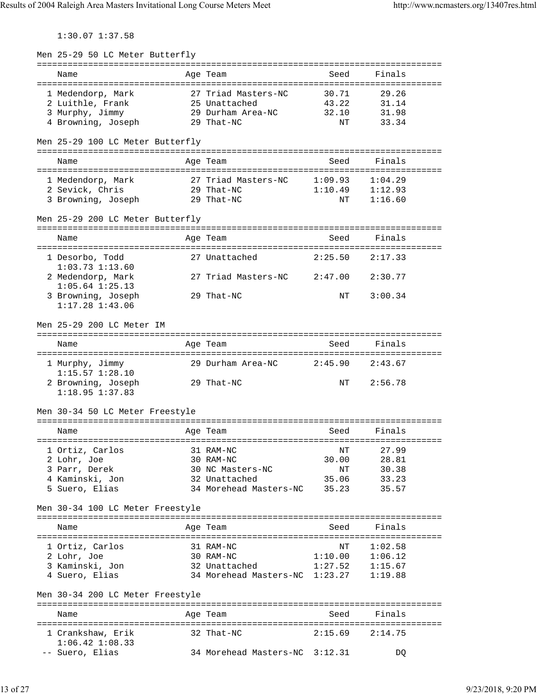1:30.07 1:37.58

| Men 25-29 50 LC Meter Butterfly  |                                |             |                |
|----------------------------------|--------------------------------|-------------|----------------|
|                                  | Age Team                       | =========== |                |
| Name                             |                                | Seed        | Finals         |
| 1 Medendorp, Mark                | 27 Triad Masters-NC            | 30.71       | 29.26          |
| 2 Luithle, Frank                 | 25 Unattached                  | 43.22       | 31.14          |
| 3 Murphy, Jimmy                  | 29 Durham Area-NC              | 32.10       | 31.98          |
| 4 Browning, Joseph               | 29 That-NC                     | NΤ          | 33.34          |
|                                  |                                |             |                |
| Men 25-29 100 LC Meter Butterfly |                                |             |                |
|                                  |                                |             |                |
| Name                             | Age Team                       | Seed        | Finals         |
|                                  |                                |             |                |
| 1 Medendorp, Mark                | 27 Triad Masters-NC            | 1:09.93     | 1:04.29        |
| 2 Sevick, Chris                  | 29 That-NC                     | 1:10.49     | 1:12.93        |
| 3 Browning, Joseph               | 29 That-NC                     | NΤ          | 1:16.60        |
|                                  |                                |             |                |
| Men 25-29 200 LC Meter Butterfly |                                |             |                |
|                                  |                                |             |                |
| Name                             | Age Team                       | Seed        | Finals         |
|                                  |                                |             |                |
| 1 Desorbo, Todd                  | 27 Unattached                  | 2:25.50     | 2:17.33        |
| $1:03.73$ $1:13.60$              |                                |             |                |
| 2 Medendorp, Mark                | 27 Triad Masters-NC            | 2:47.00     | 2:30.77        |
| $1:05.64$ $1:25.13$              |                                |             |                |
| 3 Browning, Joseph               | 29 That-NC                     | NΤ          | 3:00.34        |
| $1:17.28$ $1:43.06$              |                                |             |                |
|                                  |                                |             |                |
| Men 25-29 200 LC Meter IM        |                                |             |                |
|                                  |                                |             |                |
| Name                             | Age Team                       | Seed        | Finals         |
|                                  |                                |             |                |
| 1 Murphy, Jimmy                  | 29 Durham Area-NC              | 2:45.90     | 2:43.67        |
| $1:15.57$ $1:28.10$              |                                |             |                |
| 2 Browning, Joseph               | 29 That-NC                     | NΤ          | 2:56.78        |
| $1:18.95$ $1:37.83$              |                                |             |                |
|                                  |                                |             |                |
| Men 30-34 50 LC Meter Freestyle  |                                |             |                |
|                                  |                                |             |                |
| Name                             | Age Team                       | Seed        | Finals         |
|                                  |                                |             |                |
| 1 Ortiz, Carlos                  | 31 RAM-NC                      | ΝT          | 27.99          |
| 2 Lohr, Joe                      | 30 RAM-NC                      | 30.00       | 28.81          |
| 3 Parr, Derek                    | 30 NC Masters-NC               | ΝT          | 30.38          |
| 4 Kaminski, Jon                  | 32 Unattached                  | 35.06       | 33.23          |
| 5 Suero, Elias                   | 34 Morehead Masters-NC         | 35.23       | 35.57          |
|                                  |                                |             |                |
| Men 30-34 100 LC Meter Freestyle |                                |             |                |
|                                  |                                |             |                |
| Name                             | Age Team                       | Seed        | Finals         |
|                                  |                                |             |                |
| 1 Ortiz, Carlos                  | 31 RAM-NC                      | NΤ          | 1:02.58        |
| 2 Lohr, Joe                      | 30 RAM-NC                      | 1:10.00     | 1:06.12        |
| 3 Kaminski, Jon                  | 32 Unattached                  | 1:27.52     | 1:15.67        |
| 4 Suero, Elias                   | 34 Morehead Masters-NC 1:23.27 |             | 1:19.88        |
|                                  |                                |             |                |
| Men 30-34 200 LC Meter Freestyle |                                |             |                |
|                                  |                                |             | ============== |
| Name                             | Age Team                       | Seed        | Finals         |
|                                  |                                |             |                |
| 1 Crankshaw, Erik                | 32 That-NC                     | 2:15.69     | 2:14.75        |
| $1:06.42$ $1:08.33$              |                                |             |                |
| -- Suero, Elias                  | 34 Morehead Masters-NC 3:12.31 |             | DQ             |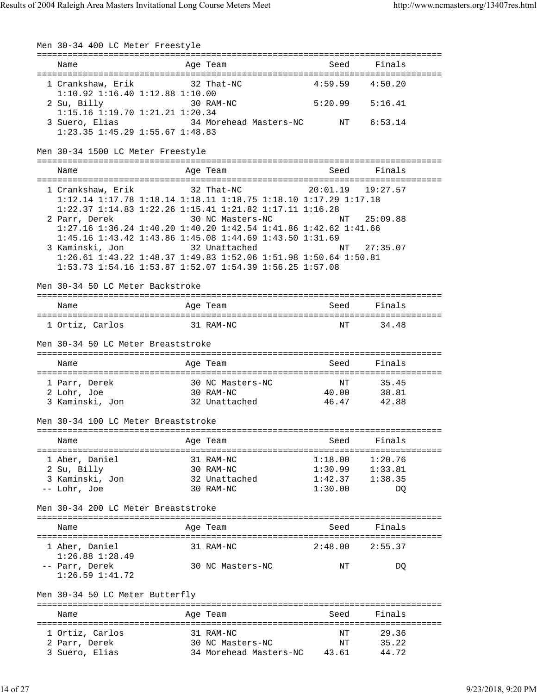Men 30-34 400 LC Meter Freestyle =============================================================================== Name and Age Team Seed Finals =============================================================================== 1 Crankshaw, Erik 32 That-NC 4:59.59 4:50.20 1:10.92 1:16.40 1:12.88 1:10.00 2 Su, Billy 30 RAM-NC 5:20.99 5:16.41 1:15.16 1:19.70 1:21.21 1:20.34 34 Morehead Masters-NC NT 6:53.14 1:23.35 1:45.29 1:55.67 1:48.83 Men 30-34 1500 LC Meter Freestyle =============================================================================== Name **Age Team** Age Team Seed Finals =============================================================================== 1 Crankshaw, Erik 32 That-NC 20:01.19 19:27.57 1:12.14 1:17.78 1:18.14 1:18.11 1:18.75 1:18.10 1:17.29 1:17.18 1:22.37 1:14.83 1:22.26 1:15.41 1:21.82 1:17.11 1:16.28 2 Parr, Derek 30 NC Masters-NC NT 25:09.88 1:27.16 1:36.24 1:40.20 1:40.20 1:42.54 1:41.86 1:42.62 1:41.66 1:45.16 1:43.42 1:43.86 1:45.08 1:44.69 1:43.50 1:31.69 3 Kaminski, Jon 32 Unattached NT 27:35.07 1:26.61 1:43.22 1:48.37 1:49.83 1:52.06 1:51.98 1:50.64 1:50.81 1:53.73 1:54.16 1:53.87 1:52.07 1:54.39 1:56.25 1:57.08 Men 30-34 50 LC Meter Backstroke =============================================================================== Name **Age Team** Seed Finals =============================================================================== 1 Ortiz, Carlos 31 RAM-NC NT 34.48 Men 30-34 50 LC Meter Breaststroke =============================================================================== Name Age Team Seed Finals =============================================================================== 1 Parr, Derek 30 NC Masters-NC 1 NT 35.45<br>2 Lohr, Joe 30 RAM-NC 40.00 38.81 2 Lohr, Joe 30 RAM-NC 40.00 38.81 3 Kaminski, Jon 32 Unattached Men 30-34 100 LC Meter Breaststroke =============================================================================== Name and Age Team Seed Finals =============================================================================== 1 Aber, Daniel 31 RAM-NC 1:18.00 1:20.76 2 Su, Billy 30 RAM-NC 1:30.99 1:33.81 3 Kaminski, Jon 32 Unattached 1:42.37 1:38.35 -- Lohr, Joe 30 RAM-NC 1:30.00 DQ Men 30-34 200 LC Meter Breaststroke =============================================================================== Name Age Team Seed Finals =============================================================================== 1 Aber, Daniel 31 RAM-NC 2:48.00 2:55.37 1:26.88 1:28.49 -- Parr, Derek 30 NC Masters-NC NT DQ 1:26.59 1:41.72 Men 30-34 50 LC Meter Butterfly =============================================================================== Age Team Seed Finals =============================================================================== 1 Ortiz, Carlos 31 RAM-NC NT 29.36 2 Parr, Derek 30 NC Masters-NC NT 35.22 3 Suero, Elias 34 Morehead Masters-NC 43.61 44.72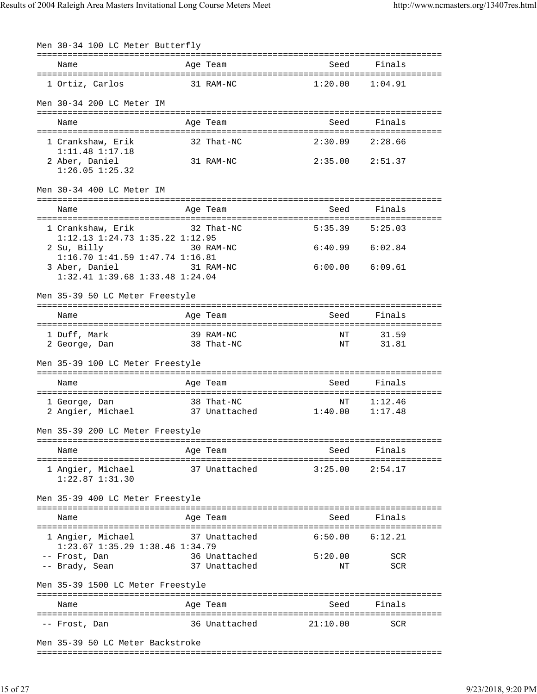| Men 30-34 100 LC Meter Butterfly                               |                                |                          |                     |
|----------------------------------------------------------------|--------------------------------|--------------------------|---------------------|
| Name                                                           | Age Team                       | Seed                     | Finals              |
|                                                                |                                |                          |                     |
| 1 Ortiz, Carlos                                                | 31 RAM-NC                      | 1:20.00                  | 1:04.91             |
| Men 30-34 200 LC Meter IM                                      |                                |                          |                     |
|                                                                |                                |                          |                     |
| Name                                                           | Age Team                       | Seed                     | Finals              |
| 1 Crankshaw, Erik<br>$1:11.48$ $1:17.18$                       | 32 That-NC                     | 2:30.09                  | 2:28.66             |
| 2 Aber, Daniel<br>$1:26.05$ $1:25.32$                          | 31 RAM-NC                      | $2:35.00$ $2:51.37$      |                     |
| Men 30-34 400 LC Meter IM                                      |                                |                          |                     |
| Name                                                           | Age Team                       | Seed                     | Finals              |
| 1 Crankshaw, Erik<br>1:12.13 1:24.73 1:35.22 1:12.95           | 32 That-NC                     | 5:35.39                  | 5:25.03             |
| 2 Su, Billy                                                    | 30 RAM-NC                      |                          | $6:40.99$ $6:02.84$ |
| 1:16.70 1:41.59 1:47.74 1:16.81<br>31 RAM-NC<br>3 Aber, Daniel |                                |                          | $6:00.00$ $6:09.61$ |
| 1:32.41 1:39.68 1:33.48 1:24.04                                |                                |                          |                     |
| Men 35-39 50 LC Meter Freestyle                                |                                |                          |                     |
| Name                                                           | Age Team                       | Seed                     | Finals              |
| 1 Duff, Mark                                                   | 39 RAM-NC                      | ΝT                       | 31.59               |
| 2 George, Dan                                                  | 38 That-NC                     | ΝT                       | 31.81               |
| Men 35-39 100 LC Meter Freestyle                               |                                |                          |                     |
| Name                                                           | Age Team                       | Seed                     | Finals              |
| 1 George, Dan                                                  | 38 That-NC                     | ΝT                       | 1:12.46             |
| 2 Angier, Michael 37 Unattached 1:40.00                        |                                |                          | 1:17.48             |
| Men 35-39 200 LC Meter Freestyle                               |                                |                          |                     |
| Name                                                           | Age Team                       | Seed                     | Finals              |
|                                                                |                                | :======================= | ==========          |
| 1 Angier, Michael<br>$1:22.87$ $1:31.30$                       | 37 Unattached                  | 3:25.00                  | 2:54.17             |
| Men 35-39 400 LC Meter Freestyle                               |                                |                          |                     |
| Name                                                           | Age Team                       | Seed                     | Finals              |
| 1 Angier, Michael                                              | 37 Unattached                  | 6:50.00                  | 6:12.21             |
| 1:23.67 1:35.29 1:38.46 1:34.79<br>-- Frost, Dan               |                                |                          |                     |
| -- Brady, Sean                                                 | 36 Unattached<br>37 Unattached | 5:20.00<br>NΤ            | SCR<br>SCR          |
| Men 35-39 1500 LC Meter Freestyle                              |                                |                          |                     |
| Name                                                           | Age Team                       | Seed                     | Finals              |
| -- Frost, Dan                                                  | 36 Unattached                  | 21:10.00                 | SCR                 |
| Men 35-39 50 LC Meter Backstroke                               |                                |                          |                     |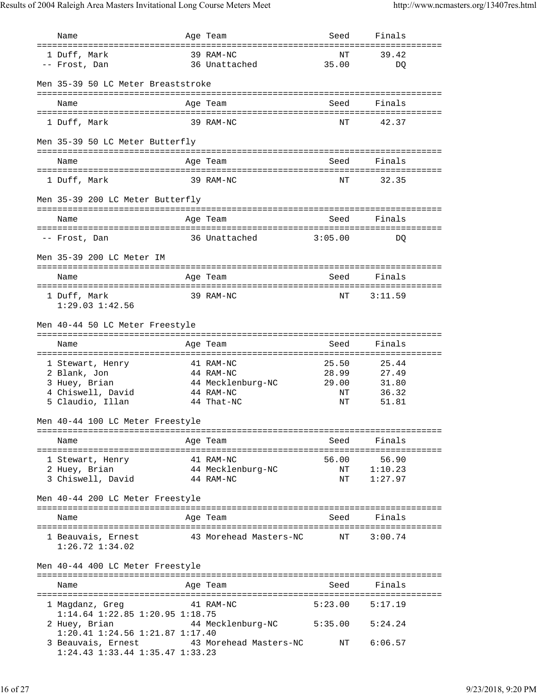| Name                                                                                    | Age Team                                    | Seed                | Finals         |
|-----------------------------------------------------------------------------------------|---------------------------------------------|---------------------|----------------|
| ===================================<br>1 Duff, Mark                                     | ==============================<br>39 RAM-NC | NΤ                  | 39.42          |
| -- Frost, Dan                                                                           | 36 Unattached                               | 35.00               | DQ             |
|                                                                                         |                                             |                     |                |
| Men 35-39 50 LC Meter Breaststroke                                                      |                                             |                     |                |
| Name                                                                                    | Age Team                                    | Seed                | Finals         |
|                                                                                         |                                             |                     |                |
| 1 Duff, Mark                                                                            | 39 RAM-NC                                   | NT                  | 42.37          |
| Men 35-39 50 LC Meter Butterfly                                                         |                                             |                     |                |
|                                                                                         |                                             |                     |                |
| Name                                                                                    | Age Team                                    | Seed                | Finals         |
| 1 Duff, Mark                                                                            | 39 RAM-NC                                   | NΤ                  | 32.35          |
|                                                                                         |                                             |                     |                |
| Men 35-39 200 LC Meter Butterfly                                                        |                                             |                     |                |
| Name                                                                                    | Age Team                                    | Seed                | Finals         |
|                                                                                         | 36 Unattached                               | 3:05.00             |                |
| -- Frost, Dan                                                                           |                                             |                     | DO             |
| Men 35-39 200 LC Meter IM                                                               |                                             |                     |                |
|                                                                                         | Age Team                                    | Seed                | Finals         |
| Name                                                                                    |                                             |                     |                |
| 1 Duff, Mark                                                                            | 39 RAM-NC                                   | NΤ                  | 3:11.59        |
| $1:29.03$ $1:42.56$                                                                     |                                             |                     |                |
| Men 40-44 50 LC Meter Freestyle                                                         |                                             |                     |                |
|                                                                                         |                                             |                     |                |
| Name                                                                                    | Age Team                                    | Seed                | Finals         |
| 1 Stewart, Henry                                                                        | 41 RAM-NC                                   | 25.50               | 25.44          |
| 2 Blank, Jon                                                                            | 44 RAM-NC                                   | 28.99               | 27.49          |
| 3 Huey, Brian                                                                           | 44 Mecklenburg-NC                           | 29.00               | 31.80          |
| 4 Chiswell, David<br>5 Claudio, Illan                                                   | 44 RAM-NC<br>44 That-NC                     | NΤ<br>NΤ            | 36.32<br>51.81 |
|                                                                                         |                                             |                     |                |
| Men 40-44 100 LC Meter Freestyle                                                        |                                             |                     |                |
|                                                                                         |                                             |                     | Seed Finals    |
| Name                                                                                    | Age Team                                    |                     |                |
| 1 Stewart, Henry                                                                        | 41 RAM-NC                                   |                     | 56.00 56.90    |
| an dia 1970.<br>Ny faritr'ora<br>2 Huey, Brian                                          | 44 Mecklenburg-NC                           | NT 1:10.23          |                |
| 3 Chiswell, David                                                                       | 44 RAM-NC                                   |                     | NT 1:27.97     |
| Men 40-44 200 LC Meter Freestyle                                                        |                                             |                     |                |
|                                                                                         |                                             |                     |                |
| Name                                                                                    | Age Team                                    | Seed                | Finals         |
| 1 Beauvais, Ernest 43 Morehead Masters-NC NT 3:00.74<br>$1:26.72$ $1:34.02$             |                                             |                     |                |
| Men 40-44 400 LC Meter Freestyle                                                        |                                             |                     |                |
| Name                                                                                    | Age Team                                    |                     | Seed Finals    |
|                                                                                         |                                             |                     |                |
| 1 Magdanz, Greg<br>1:14.64 1:22.85 1:20.95 1:18.75                                      | 41 RAM-NC                                   | $5:23.00$ $5:17.19$ |                |
| 2 Huey, Brian 			 44 Mecklenburg-NC 			 5:35.00 		 5:24.24                              |                                             |                     |                |
| 1:20.41 1:24.56 1:21.87 1:17.40                                                         |                                             |                     |                |
| 3 Beauvais, Ernest 43 Morehead Masters-NC NT 6:06.57<br>1:24.43 1:33.44 1:35.47 1:33.23 |                                             |                     |                |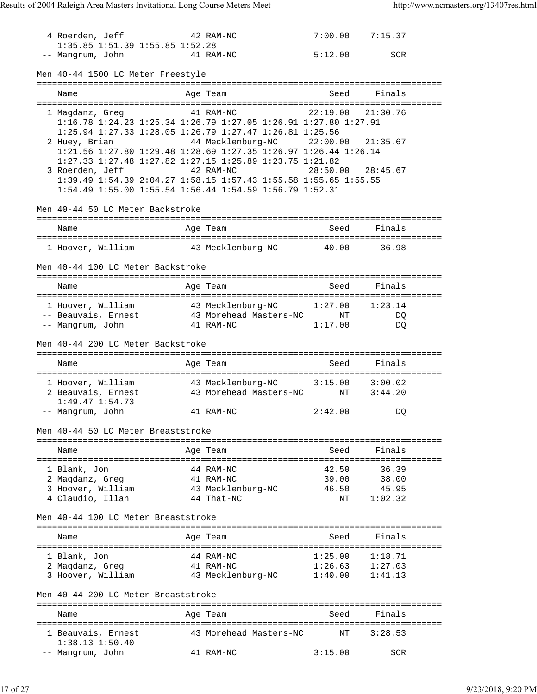| 4 Roerden, Jeff<br>1:35.85 1:51.39 1:55.85 1:52.28                               |  | 42 RAM-NC                         |         | $7:00.00$ $7:15.37$ |  |  |  |  |
|----------------------------------------------------------------------------------|--|-----------------------------------|---------|---------------------|--|--|--|--|
| -- Mangrum, John<br>41 RAM-NC                                                    |  |                                   | 5:12.00 | <b>SCR</b>          |  |  |  |  |
| Men 40-44 1500 LC Meter Freestyle                                                |  |                                   |         |                     |  |  |  |  |
| Name                                                                             |  | Age Team                          | Seed    | Finals              |  |  |  |  |
| 1 Magdanz, Greg                                                                  |  | 41 RAM-NC                         |         | 22:19.00 21:30.76   |  |  |  |  |
| 1:16.78 1:24.23 1:25.34 1:26.79 1:27.05 1:26.91 1:27.80 1:27.91                  |  |                                   |         |                     |  |  |  |  |
| 1:25.94 1:27.33 1:28.05 1:26.79 1:27.47 1:26.81 1:25.56                          |  |                                   |         |                     |  |  |  |  |
| 2 Huey, Brian<br>1:21.56 1:27.80 1:29.48 1:28.69 1:27.35 1:26.97 1:26.44 1:26.14 |  |                                   |         |                     |  |  |  |  |
| 1:27.33 1:27.48 1:27.82 1:27.15 1:25.89 1:23.75 1:21.82                          |  |                                   |         |                     |  |  |  |  |
| 3 Roerden, Jeff                                                                  |  | 42 RAM-NC                         |         | 28:50.00 28:45.67   |  |  |  |  |
| 1:39.49 1:54.39 2:04.27 1:58.15 1:57.43 1:55.58 1:55.65 1:55.55                  |  |                                   |         |                     |  |  |  |  |
| 1:54.49 1:55.00 1:55.54 1:56.44 1:54.59 1:56.79 1:52.31                          |  |                                   |         |                     |  |  |  |  |
| Men 40-44 50 LC Meter Backstroke                                                 |  |                                   |         |                     |  |  |  |  |
| Name                                                                             |  | Age Team                          | Seed    | Finals              |  |  |  |  |
| 1 Hoover, William 43 Mecklenburg-NC 40.00                                        |  |                                   |         | 36.98               |  |  |  |  |
|                                                                                  |  |                                   |         |                     |  |  |  |  |
| Men 40-44 100 LC Meter Backstroke                                                |  |                                   |         |                     |  |  |  |  |
| Name                                                                             |  | Age Team                          | Seed    | Finals              |  |  |  |  |
| 1 Hoover, William 43 Mecklenburg-NC 1:27.00                                      |  |                                   |         | 1:23.14             |  |  |  |  |
| -- Beauvais, Ernest 43 Morehead Masters-NC NT                                    |  |                                   |         | DQ                  |  |  |  |  |
| -- Mangrum, John                                                                 |  | 41 RAM-NC                         | 1:17.00 | DQ                  |  |  |  |  |
| Men 40-44 200 LC Meter Backstroke                                                |  |                                   |         |                     |  |  |  |  |
| Name                                                                             |  | Age Team                          | Seed    | Finals              |  |  |  |  |
| 1 Hoover, William 43 Mecklenburg-NC 3:15.00 3:00.02                              |  |                                   |         |                     |  |  |  |  |
| 2 Beauvais, Ernest                                                               |  | 43 Morehead Masters-NC NT 3:44.20 |         |                     |  |  |  |  |
| $1:49.47$ $1:54.73$                                                              |  |                                   |         |                     |  |  |  |  |
| -- Mangrum, John                                                                 |  | 41 RAM-NC                         | 2:42.00 | DQ                  |  |  |  |  |
| Men 40-44 50 LC Meter Breaststroke                                               |  |                                   |         |                     |  |  |  |  |
| Name                                                                             |  | Age Team                          | Seed    | Finals              |  |  |  |  |
| 1 Blank, Jon                                                                     |  | 44 RAM-NC                         | 42.50   | 36.39               |  |  |  |  |
| 2 Magdanz, Greg                                                                  |  | 41 RAM-NC                         | 39.00   | 38.00               |  |  |  |  |
| 3 Hoover, William                                                                |  | 43 Mecklenburg-NC                 | 46.50   | 45.95               |  |  |  |  |
| 4 Claudio, Illan                                                                 |  | 44 That-NC                        | ΝT      | 1:02.32             |  |  |  |  |
| Men 40-44 100 LC Meter Breaststroke                                              |  |                                   |         |                     |  |  |  |  |
| Name                                                                             |  | Age Team                          | Seed    | Finals              |  |  |  |  |
| 1 Blank, Jon                                                                     |  | 44 RAM-NC                         | 1:25.00 | 1:18.71             |  |  |  |  |
| 2 Magdanz, Greg                                                                  |  | 41 RAM-NC                         | 1:26.63 | 1:27.03             |  |  |  |  |
| 3 Hoover, William                                                                |  | 43 Mecklenburg-NC                 | 1:40.00 | 1:41.13             |  |  |  |  |
| Men 40-44 200 LC Meter Breaststroke                                              |  |                                   |         |                     |  |  |  |  |
| Name                                                                             |  | Age Team                          | Seed    | Finals              |  |  |  |  |
| 1 Beauvais, Ernest<br>$1:38.13$ $1:50.40$                                        |  | 43 Morehead Masters-NC            | ΝT      | 3:28.53             |  |  |  |  |
| -- Mangrum, John                                                                 |  | 41 RAM-NC                         | 3:15.00 | <b>SCR</b>          |  |  |  |  |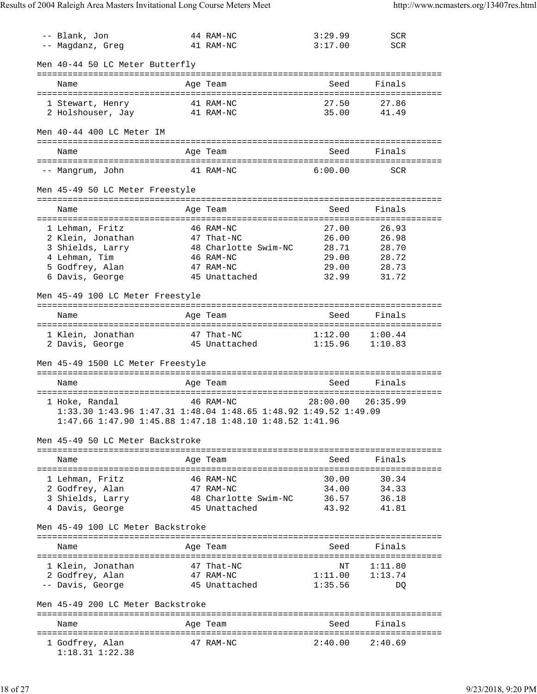| -- Blank, Jon                                                   | 44 RAM-NC                 | 3:29.99                | <b>SCR</b>          |
|-----------------------------------------------------------------|---------------------------|------------------------|---------------------|
| -- Magdanz, Greg                                                | 41 RAM-NC                 | 3:17.00                | <b>SCR</b>          |
| Men 40-44 50 LC Meter Butterfly                                 |                           |                        |                     |
| Name                                                            | Age Team                  | Seed                   | Finals              |
|                                                                 |                           |                        |                     |
| 1 Stewart, Henry                                                | 41 RAM-NC                 | 27.50                  | 27.86               |
| 2 Holshouser, Jay 31 RAM-NC                                     |                           | 35.00                  | 41.49               |
|                                                                 |                           |                        |                     |
| Men 40-44 400 LC Meter IM                                       |                           |                        |                     |
| Name                                                            | Age Team                  | Seed                   | Finals              |
| -- Mangrum, John                                                | 41 RAM-NC                 | 6:00.00                | <b>SCR</b>          |
|                                                                 |                           |                        |                     |
| Men 45-49 50 LC Meter Freestyle                                 |                           |                        |                     |
| Name                                                            | Age Team                  | Seed                   | Finals              |
|                                                                 |                           |                        |                     |
| 1 Lehman, Fritz                                                 | 46 RAM-NC                 | 27.00                  | 26.93               |
| 2 Klein, Jonathan                                               | 47 That-NC                | 26.00                  | 26.98               |
| 3 Shields, Larry                                                | 48 Charlotte Swim-NC      | 28.71                  | 28.70               |
| 4 Lehman, Tim                                                   | 46 RAM-NC                 | 29.00                  | 28.72               |
| 5 Godfrey, Alan                                                 | 47 RAM-NC                 | 29.00                  | 28.73               |
| 6 Davis, George                                                 | 45 Unattached             | 32.99                  | 31.72               |
| Men 45-49 100 LC Meter Freestyle                                |                           |                        |                     |
|                                                                 |                           |                        |                     |
| Name                                                            | Age Team                  | Seed                   | Finals              |
| 1 Klein, Jonathan                                               | 47 That-NC                | 1:12.00                | 1:00.44             |
| 2 Davis, George                                                 | 45 Unattached             |                        | $1:15.96$ $1:10.83$ |
|                                                                 |                           |                        |                     |
| Men 45-49 1500 LC Meter Freestyle                               |                           |                        |                     |
|                                                                 |                           |                        |                     |
| Name                                                            | Age Team                  | Seed                   | Finals              |
|                                                                 |                           |                        |                     |
| 1 Hoke, Randal                                                  | 46 RAM-NC                 | 28:00.00               | 26:35.99            |
| 1:33.30 1:43.96 1:47.31 1:48.04 1:48.65 1:48.92 1:49.52 1:49.09 |                           |                        |                     |
| 1:47.66 1:47.90 1:45.88 1:47.18 1:48.10 1:48.52 1:41.96         |                           |                        |                     |
|                                                                 |                           |                        |                     |
| Men 45-49 50 LC Meter Backstroke                                |                           |                        |                     |
|                                                                 | ------------------------- |                        |                     |
| Name                                                            | Age Team                  | Seed                   | Finals              |
|                                                                 |                           |                        |                     |
| 1 Lehman, Fritz                                                 | 46 RAM-NC                 | 30.00                  | 30.34               |
| 2 Godfrey, Alan                                                 | 47 RAM-NC                 | 34.00                  | 34.33               |
| 3 Shields, Larry                                                | 48 Charlotte Swim-NC      | 36.57                  | 36.18               |
| 4 Davis, George                                                 | 45 Unattached             | 43.92                  | 41.81               |
| Men 45-49 100 LC Meter Backstroke                               |                           |                        |                     |
| Name                                                            | Age Team                  | Seed                   | Finals              |
|                                                                 |                           | :===================== | ---------           |
| 1 Klein, Jonathan                                               | 47 That-NC                | NΤ                     | 1:11.80             |
| 2 Godfrey, Alan                                                 | 47 RAM-NC                 | 1:11.00                | 1:13.74             |
| -- Davis, George                                                | 45 Unattached             | 1:35.56                | DQ                  |
|                                                                 |                           |                        |                     |
| Men 45-49 200 LC Meter Backstroke                               |                           |                        |                     |
| Name                                                            | Age Team                  | Seed                   | Finals              |
|                                                                 |                           |                        |                     |
| 1 Godfrey, Alan<br>$1:18.31$ $1:22.38$                          | 47 RAM-NC                 | 2:40.00                | 2:40.69             |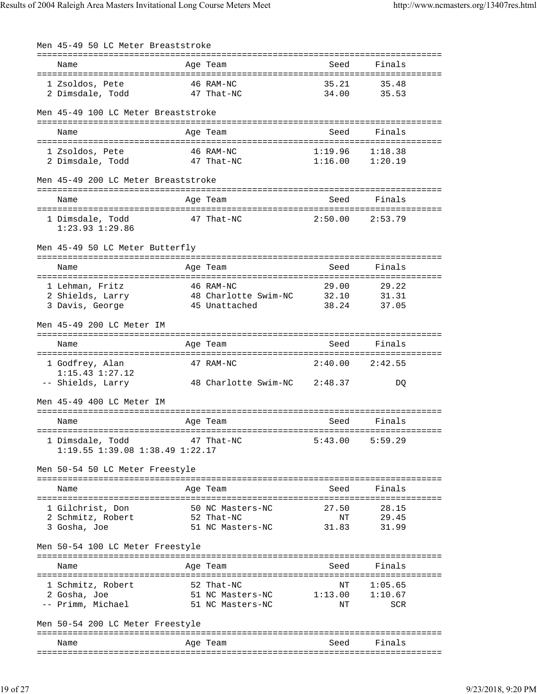Men 45-49 50 LC Meter Breaststroke =============================================================================== Name **Age Team** Age Team Seed Finals =============================================================================== 1 Zsoldos, Pete 46 RAM-NC 35.21 35.48 2 Dimsdale, Todd 47 That-NC 34.00 35.53 Men 45-49 100 LC Meter Breaststroke =============================================================================== Name **Age Team** Age Team Seed Finals =============================================================================== 1 Zsoldos, Pete 46 RAM-NC 1:19.96 1:18.38 2 Dimsdale, Todd Men 45-49 200 LC Meter Breaststroke =============================================================================== Name **Age Team** Age Team Seed Finals =============================================================================== 1 Dimsdale, Todd 47 That-NC 2:50.00 2:53.79 1:23.93 1:29.86 Men 45-49 50 LC Meter Butterfly =============================================================================== Name **Age Team** Age Team Seed Finals =============================================================================== 1 Lehman, Fritz 46 RAM-NC 29.00 29.22 2 Shields, Larry 48 Charlotte Swim-NC 32.10 31.31 3 Davis, George 45 Unattached 38.24 37.05 Men 45-49 200 LC Meter IM =============================================================================== Name Age Team Seed Finals =============================================================================== 1 Godfrey, Alan 47 RAM-NC 2:40.00 2:42.55 1:15.43 1:27.12 -- Shields, Larry 48 Charlotte Swim-NC 2:48.37 DQ Men 45-49 400 LC Meter IM =============================================================================== Name **Age Team** Age Team Seed Finals =============================================================================== 1 Dimsdale, Todd 47 That-NC 5:43.00 5:59.29 1:19.55 1:39.08 1:38.49 1:22.17 Men 50-54 50 LC Meter Freestyle =============================================================================== Name and Seed Finally Age Team and Seed Seed Finally Seed Seed Finally Seed Seed =============================================================================== 1 Gilchrist, Don 50 NC Masters-NC 27.50 28.15<br>2 Schmitz, Robert 52 That-NC 17 29.45 2 Schmitz, Robert 52 That-NC 1978 NT<br>3 Gosha, Joe 51 NC Masters-NC 31.83 3 Gosha, Joe 51 NC Masters-NC 31.83 31.99 Men 50-54 100 LC Meter Freestyle =============================================================================== Name Age Team Seed Finals =============================================================================== 1 Schmitz, Robert 52 That-NC NT 1:05.65 2 Gosha, Joe 51 NC Masters-NC 1:13.00 1:10.67 -- Primm, Michael 51 NC Masters-NC NT NT SCR Men 50-54 200 LC Meter Freestyle =============================================================================== Name **Age Team** Age Team Seed Finals ===============================================================================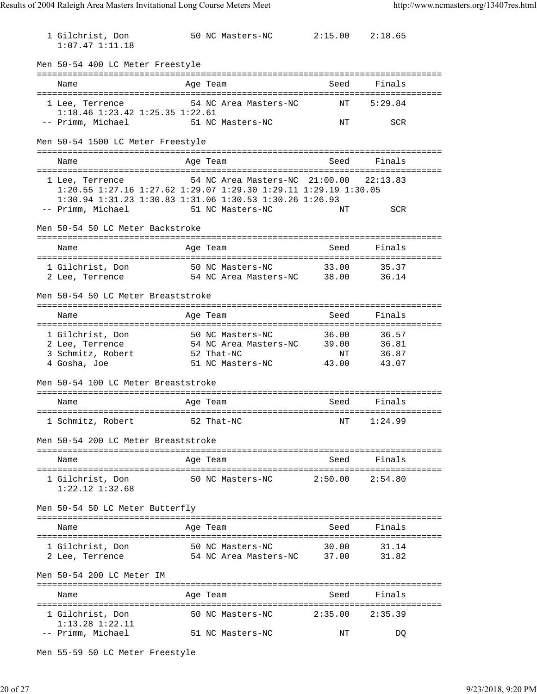| 1 Gilchrist, Don<br>$1:07.47$ $1:11.18$                                                                                                                            | 50 NC Masters-NC                                   |         | $2:15.00$ $2:18.65$ |  |
|--------------------------------------------------------------------------------------------------------------------------------------------------------------------|----------------------------------------------------|---------|---------------------|--|
| Men 50-54 400 LC Meter Freestyle                                                                                                                                   |                                                    |         |                     |  |
| Name                                                                                                                                                               | Age Team                                           | Seed    | Finals              |  |
| 1 Lee, Terrence<br>$1:18.46$ $1:23.42$ $1:25.35$ $1:22.61$                                                                                                         | 54 NC Area Masters-NC                              | NΤ      | 5:29.84             |  |
| -- Primm, Michael                                                                                                                                                  | 51 NC Masters-NC                                   | ΝT      | <b>SCR</b>          |  |
| Men 50-54 1500 LC Meter Freestyle                                                                                                                                  |                                                    |         |                     |  |
| Name                                                                                                                                                               | Age Team                                           | Seed    | Finals              |  |
| 1 Lee, Terrence<br>1:20.55 1:27.16 1:27.62 1:29.07 1:29.30 1:29.11 1:29.19 1:30.05<br>1:30.94 1:31.23 1:30.83 1:31.06 1:30.53 1:30.26 1:26.93<br>-- Primm, Michael | 54 NC Area Masters-NC 21:00.00<br>51 NC Masters-NC | NΤ      | 22:13.83<br>SCR     |  |
| Men 50-54 50 LC Meter Backstroke                                                                                                                                   |                                                    |         |                     |  |
| Name                                                                                                                                                               | Age Team                                           | Seed    | Finals              |  |
| 1 Gilchrist, Don 50 NC Masters-NC                                                                                                                                  |                                                    | 33.00   | 35.37               |  |
| 2 Lee, Terrence                                                                                                                                                    | 54 NC Area Masters-NC 38.00                        |         | 36.14               |  |
| Men 50-54 50 LC Meter Breaststroke                                                                                                                                 |                                                    |         |                     |  |
| Name                                                                                                                                                               | Age Team                                           | Seed    | Finals              |  |
| 1 Gilchrist, Don                                                                                                                                                   | 50 NC Masters-NC                                   | 36.00   | 36.57               |  |
| 2 Lee, Terrence                                                                                                                                                    | 54 NC Area Masters-NC 39.00                        |         | 36.81               |  |
| 3 Schmitz, Robert                                                                                                                                                  | 52 That-NC                                         | NT      | 36.87               |  |
| 4 Gosha, Joe                                                                                                                                                       | 51 NC Masters-NC                                   | 43.00   | 43.07               |  |
| Men 50-54 100 LC Meter Breaststroke                                                                                                                                |                                                    |         |                     |  |
| Name                                                                                                                                                               | Age Team                                           | Seed    | Finals              |  |
| 1 Schmitz, Robert 52 That-NC NT 1:24.99                                                                                                                            |                                                    |         |                     |  |
| Men 50-54 200 LC Meter Breaststroke                                                                                                                                |                                                    |         |                     |  |
| Name                                                                                                                                                               | Age Team                                           | Seed    | Finals              |  |
| 1 Gilchrist, Don<br>$1:22.12$ $1:32.68$                                                                                                                            |                                                    |         |                     |  |
| Men 50-54 50 LC Meter Butterfly                                                                                                                                    |                                                    |         |                     |  |
| Name                                                                                                                                                               | Age Team                                           | Seed    | Finals              |  |
| 1 Gilchrist, Don                                                                                                                                                   | 50 NC Masters-NC                                   | 30.00   | 31.14               |  |
| 2 Lee, Terrence                                                                                                                                                    | 54 NC Area Masters-NC 37.00                        |         | 31.82               |  |
| Men 50-54 200 LC Meter IM                                                                                                                                          |                                                    |         |                     |  |
| Name                                                                                                                                                               | Age Team                                           | Seed    | Finals              |  |
| 1 Gilchrist, Don<br>$1:13.28$ $1:22.11$                                                                                                                            | 50 NC Masters-NC                                   | 2:35.00 | 2:35.39             |  |
| -- Primm, Michael                                                                                                                                                  | 51 NC Masters-NC                                   | ΝT      | DQ                  |  |

Men 55-59 50 LC Meter Freestyle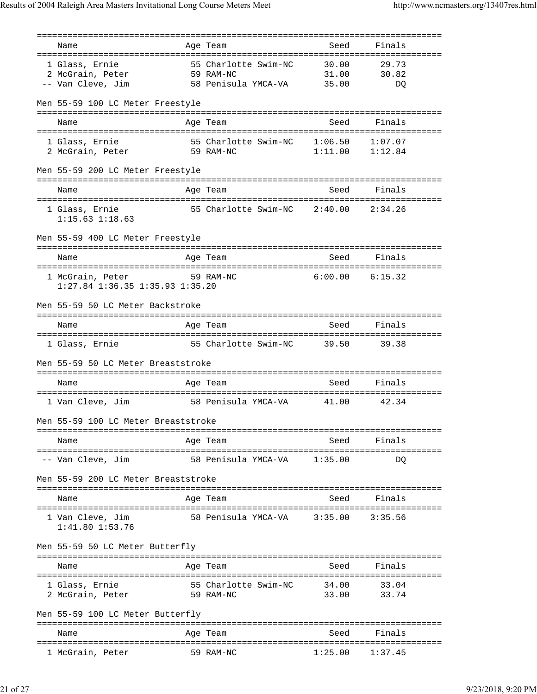=============================================================================== Name **Age Team** Seed Seed Finals =============================================================================== 1 Glass, Ernie 55 Charlotte Swim-NC 30.00 29.73 2 McGrain, Peter 59 RAM-NC 31.00 30.82 -- Van Cleve, Jim 58 Penisula YMCA-VA 35.00 DQ Men 55-59 100 LC Meter Freestyle =============================================================================== Name **Age Team** Age Team Seed Finals =============================================================================== 1 Glass, Ernie 55 Charlotte Swim-NC 1:06.50 1:07.07 2 McGrain, Peter 59 RAM-NC 1:11.00 1:12.84 Men 55-59 200 LC Meter Freestyle =============================================================================== Name **Age Team** Age Team Seed Finals =============================================================================== 1 Glass, Ernie 55 Charlotte Swim-NC 2:40.00 2:34.26 1:15.63 1:18.63 Men 55-59 400 LC Meter Freestyle =============================================================================== Name Age Team =============================================================================== 1 McGrain, Peter 59 RAM-NC 6:00.00 6:15.32 1:27.84 1:36.35 1:35.93 1:35.20 Men 55-59 50 LC Meter Backstroke =============================================================================== Name and Age Team Seed Finals =============================================================================== 1 Glass, Ernie 55 Charlotte Swim-NC 39.50 39.38 Men 55-59 50 LC Meter Breaststroke =============================================================================== Name **Age Team** Age Team Seed Finals =============================================================================== 1 Van Cleve, Jim 58 Penisula YMCA-VA 41.00 42.34 Men 55-59 100 LC Meter Breaststroke =============================================================================== Name **Age Team** Age Team Seed Finals =============================================================================== -- Van Cleve, Jim 58 Penisula YMCA-VA 1:35.00 DQ Men 55-59 200 LC Meter Breaststroke =============================================================================== Name **Age Team** Age Team Seed Finals =============================================================================== 1 Van Cleve, Jim 58 Penisula YMCA-VA 3:35.00 3:35.56 1:41.80 1:53.76 Men 55-59 50 LC Meter Butterfly =============================================================================== Name Age Team Seed Finals =============================================================================== 1 Glass, Ernie 55 Charlotte Swim-NC 34.00 33.04 2 McGrain, Peter 59 RAM-NC 33.00 33.74 Men 55-59 100 LC Meter Butterfly =============================================================================== Name **Age Team** Age Team Seed Finals =============================================================================== 1 McGrain, Peter 59 RAM-NC 1:25.00 1:37.45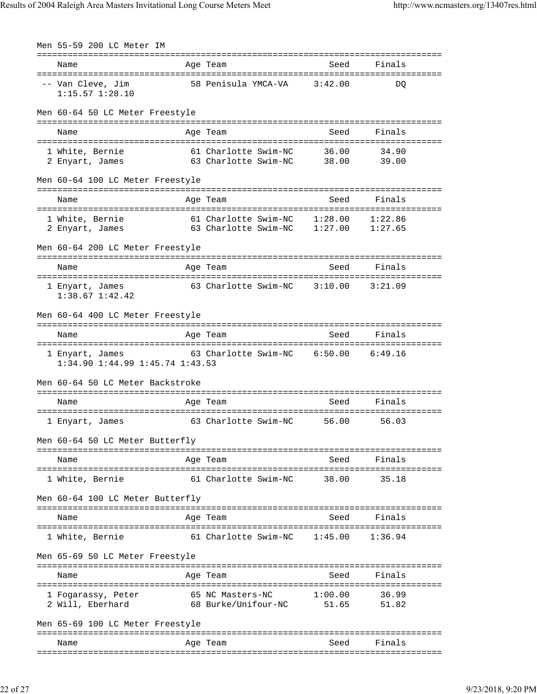| Men 55-59 200 LC Meter IM                                  |                                                                      |                |                |
|------------------------------------------------------------|----------------------------------------------------------------------|----------------|----------------|
| Name                                                       | Age Team                                                             | Seed           | Finals         |
| -- Van Cleve, Jim<br>$1:15.57$ $1:28.10$                   | 58 Penisula YMCA-VA                                                  | 3:42.00        | DO             |
| Men 60-64 50 LC Meter Freestyle                            |                                                                      |                |                |
| Name                                                       | Age Team                                                             | Seed           | Finals         |
| 1 White, Bernie<br>2 Enyart, James                         | 61 Charlotte Swim-NC<br>63 Charlotte Swim-NC                         | 36.00<br>38.00 | 34.90<br>39.00 |
| Men 60-64 100 LC Meter Freestyle                           |                                                                      |                |                |
| Name                                                       | Age Team                                                             | Seed           | Finals         |
| 1 White, Bernie<br>2 Enyart, James                         | 61 Charlotte Swim-NC 1:28.00<br>61 Charlotte Swim-NC 1:27.00 1:27.65 |                | 1:22.86        |
| Men 60-64 200 LC Meter Freestyle                           |                                                                      |                |                |
| Name                                                       | Age Team                                                             | Seed           | Finals         |
| 1 Enyart, James<br>$1:38.67$ $1:42.42$                     | 63 Charlotte Swim-NC 3:10.00                                         |                | 3:21.09        |
| Men 60-64 400 LC Meter Freestyle                           |                                                                      |                |                |
| Name                                                       | Age Team                                                             | Seed           | Finals         |
| 1 Enyart, James<br>$1:34.90$ $1:44.99$ $1:45.74$ $1:43.53$ | 63 Charlotte Swim-NC 6:50.00                                         |                | 6:49.16        |
| Men 60-64 50 LC Meter Backstroke                           |                                                                      |                |                |
| Name                                                       | Age Team                                                             | Seed           | Finals         |
| 1 Enyart, James                                            | 63 Charlotte Swim-NC                                                 | 56.00          | 56.03          |
| Men 60-64 50 LC Meter Butterfly                            |                                                                      |                |                |
| Name                                                       | Age Team                                                             | Seed           | Finals         |
| 1 White, Bernie                                            | 61 Charlotte Swim-NC                                                 | 38.00          | 35.18          |
| Men 60-64 100 LC Meter Butterfly                           |                                                                      |                |                |
| Name                                                       | Age Team                                                             | Seed           | Finals         |
| 1 White, Bernie                                            | 61 Charlotte Swim-NC                                                 | 1:45.00        | 1:36.94        |
| Men 65-69 50 LC Meter Freestyle                            |                                                                      |                |                |
| Name                                                       | Age Team                                                             | Seed           | Finals         |
| 1 Fogarassy, Peter<br>2 Will, Eberhard                     | 65 NC Masters-NC<br>68 Burke/Unifour-NC 51.65                        | 1:00.00        | 36.99<br>51.82 |
| Men 65-69 100 LC Meter Freestyle                           |                                                                      |                |                |
| Name                                                       | Age Team                                                             | Seed           | Finals         |
|                                                            |                                                                      |                |                |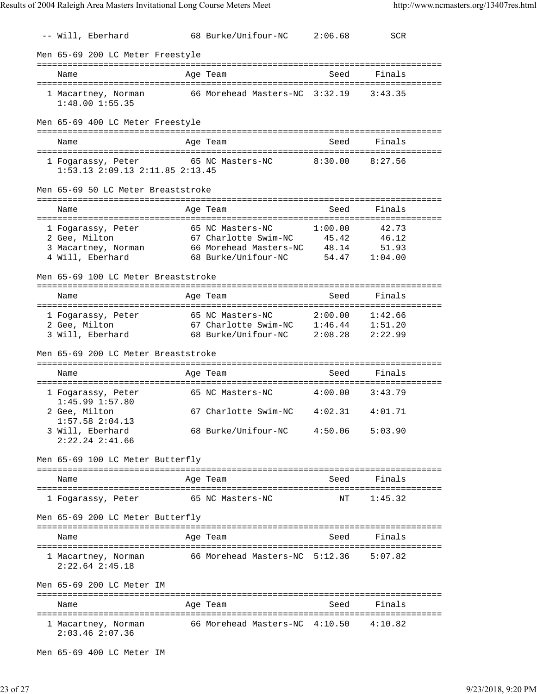-- Will, Eberhard 68 Burke/Unifour-NC 2:06.68 SCR Men 65-69 200 LC Meter Freestyle =============================================================================== Name **Age Team** Age Team Seed Finals =============================================================================== 1 Macartney, Norman 66 Morehead Masters-NC 3:32.19 3:43.35 1:48.00 1:55.35 Men 65-69 400 LC Meter Freestyle =============================================================================== Name **Age Team** Age Team Seed Finals =============================================================================== 1 Fogarassy, Peter 65 NC Masters-NC 8:30.00 8:27.56 1:53.13 2:09.13 2:11.85 2:13.45 Men 65-69 50 LC Meter Breaststroke =============================================================================== Name **Age Team** Age Team Seed Finals =============================================================================== 1 Fogarassy, Peter 65 NC Masters-NC 1:00.00 42.73 2 Gee, Milton 67 Charlotte Swim-NC 45.42 46.12 3 Macartney, Norman 66 Morehead Masters-NC 48.14 51.93 4 Will, Eberhard 68 Burke/Unifour-NC 54.47 1:04.00 Men 65-69 100 LC Meter Breaststroke =============================================================================== Name Age Team Seed Finals =============================================================================== 1 Fogarassy, Peter 65 NC Masters-NC 2:00.00 1:42.66 2 Gee, Milton 67 Charlotte Swim-NC 1:46.44 1:51.20 3 Will, Eberhard 68 Burke/Unifour-NC 2:08.28 2:22.99 Men 65-69 200 LC Meter Breaststroke =============================================================================== Name **Age Team** Age Team Seed Finals =============================================================================== 1 Fogarassy, Peter 65 NC Masters-NC 4:00.00 3:43.79 1:45.99 1:57.80 2 Gee, Milton 67 Charlotte Swim-NC 4:02.31 4:01.71 1:57.58 2:04.13 3 Will, Eberhard 68 Burke/Unifour-NC 4:50.06 5:03.90 2:22.24 2:41.66 Men 65-69 100 LC Meter Butterfly =============================================================================== Name **Age Team** Age Team Seed Finals =============================================================================== 1 Fogarassy, Peter 65 NC Masters-NC NT 1:45.32 Men 65-69 200 LC Meter Butterfly =============================================================================== Name **Age Team** Seed Finals =============================================================================== 1 Macartney, Norman 66 Morehead Masters-NC 5:12.36 5:07.82 2:22.64 2:45.18 Men 65-69 200 LC Meter IM =============================================================================== Name **Age Team** Age Team Seed Finals =============================================================================== 1 Macartney, Norman 66 Morehead Masters-NC 4:10.50 4:10.82 2:03.46 2:07.36

Men 65-69 400 LC Meter IM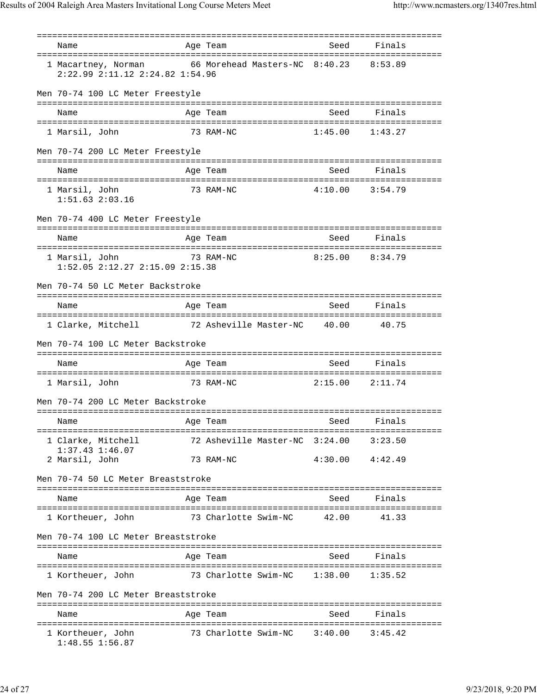| Name                                                                                          | Age Team                               | Seed    | Finals              |
|-----------------------------------------------------------------------------------------------|----------------------------------------|---------|---------------------|
| 1 Macartney, Norman 66 Morehead Masters-NC 8:40.23<br>$2:22.99$ $2:11.12$ $2:24.82$ $1:54.96$ |                                        |         | 8:53.89             |
| Men 70-74 100 LC Meter Freestyle                                                              |                                        |         |                     |
| Name                                                                                          | Age Team                               | Seed    | Finals              |
| 1 Marsil, John                                                                                | 73 RAM-NC                              | 1:45.00 | 1:43.27             |
| Men 70-74 200 LC Meter Freestyle                                                              |                                        |         |                     |
| Name                                                                                          | Age Team                               | Seed    | Finals              |
| 1 Marsil, John<br>$1:51.63$ $2:03.16$                                                         | 73 RAM-NC                              |         | $4:10.00$ $3:54.79$ |
| Men 70-74 400 LC Meter Freestyle                                                              |                                        |         |                     |
| Name                                                                                          | Age Team                               | Seed    | Finals              |
| 1 Marsil, John<br>$1:52.05$ $2:12.27$ $2:15.09$ $2:15.38$                                     | 73 RAM-NC                              | 8:25.00 | 8:34.79             |
| Men 70-74 50 LC Meter Backstroke                                                              |                                        |         |                     |
| Name                                                                                          | Age Team                               | Seed    | Finals              |
| 1 Clarke, Mitchell 72 Asheville Master-NC 40.00                                               |                                        |         | 40.75               |
| Men 70-74 100 LC Meter Backstroke                                                             |                                        |         |                     |
| Name                                                                                          | Age Team                               | Seed    | Finals              |
| 1 Marsil, John                                                                                | 73 RAM-NC                              | 2:15.00 | 2:11.74             |
| Men 70-74 200 LC Meter Backstroke                                                             |                                        |         |                     |
| Name                                                                                          | Age Team                               | Seed    | Finals              |
| 1 Clarke, Mitchell<br>$1:37.43$ $1:46.07$                                                     | 72 Asheville Master-NC 3:24.00 3:23.50 |         |                     |
| 2 Marsil, John                                                                                | 73 RAM-NC                              |         | $4:30.00$ $4:42.49$ |
| Men 70-74 50 LC Meter Breaststroke                                                            |                                        |         |                     |
| Name                                                                                          | Age Team                               | Seed    | Finals              |
| 1 Kortheuer, John                                                                             | 73 Charlotte Swim-NC                   | 42.00   | 41.33               |
| Men 70-74 100 LC Meter Breaststroke                                                           |                                        |         |                     |
| Name                                                                                          | Age Team                               | Seed    | Finals              |
| 1 Kortheuer, John                                                                             |                                        |         |                     |
| Men 70-74 200 LC Meter Breaststroke                                                           |                                        |         |                     |
| Name                                                                                          | Age Team                               | Seed    | Finals              |
| 1 Kortheuer, John<br>$1:48.55$ $1:56.87$                                                      | 73 Charlotte Swim-NC 3:40.00 3:45.42   |         |                     |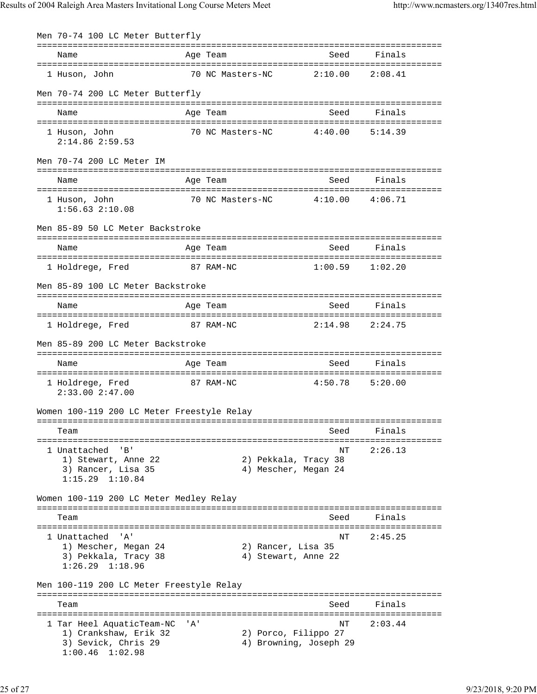Men 70-74 100 LC Meter Butterfly =============================================================================== Name Age Team Seed Finals =============================================================================== 1 Huson, John 70 NC Masters-NC 2:10.00 2:08.41 Men 70-74 200 LC Meter Butterfly =============================================================================== Name Age Team Seed Finals =============================================================================== 1 Huson, John 70 NC Masters-NC 4:40.00 5:14.39 2:14.86 2:59.53 Men 70-74 200 LC Meter IM =============================================================================== Name **Age Team** Age Team Seed Finals =============================================================================== 1 Huson, John 70 NC Masters-NC 4:10.00 4:06.71 1:56.63 2:10.08 Men 85-89 50 LC Meter Backstroke =============================================================================== Name Age Team Seed Finals =============================================================================== 1 Holdrege, Fred 87 RAM-NC 1:00.59 1:02.20 Men 85-89 100 LC Meter Backstroke =============================================================================== Name and Age Team =============================================================================== 1 Holdrege, Fred 87 RAM-NC 2:14.98 2:24.75 Men 85-89 200 LC Meter Backstroke =============================================================================== Name Age Team Seed Finals =============================================================================== 1 Holdrege, Fred 87 RAM-NC 4:50.78 5:20.00 2:33.00 2:47.00 Women 100-119 200 LC Meter Freestyle Relay =============================================================================== Team Seed Finals =============================================================================== 1 Unattached 'B' NT 2:26.13 1) Stewart, Anne 22 2) Pekkala, Tracy 38 3) Rancer, Lisa 35 4) Mescher, Megan 24 1:15.29 1:10.84 Women 100-119 200 LC Meter Medley Relay =============================================================================== Team Seed Finals =============================================================================== 1 Unattached 'A' NT 2:45.25 1) Mescher, Megan 24 2) Rancer, Lisa 35 3) Pekkala, Tracy 38 4) Stewart, Anne 22 1:26.29 1:18.96 Men 100-119 200 LC Meter Freestyle Relay =============================================================================== Seed Finals =============================================================================== 1 Tar Heel AquaticTeam-NC 'A' 1) Crankshaw, Erik 32 2 2) Porco, Filippo 27 1) Crankshaw, Erik 32<br>3) Sevick, Chris 29 4) Browning, Joseph 29 1:00.46 1:02.98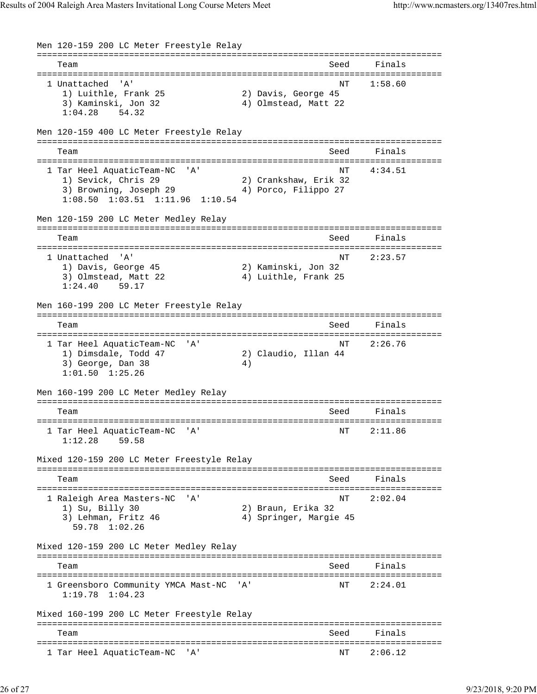```
Men 120-159 200 LC Meter Freestyle Relay
===============================================================================
   Team Seed Finals
===============================================================================
  1 Unattached 'A' NT 1:58.60
    1) Luithle, Frank 25 2) Davis, George 45
    3) Kaminski, Jon 32 4) Olmstead, Matt 22
    1:04.28 54.32
Men 120-159 400 LC Meter Freestyle Relay
===============================================================================
  Team Seed Finals
===============================================================================
  1 Tar Heel AquaticTeam-NC 'A' NT 4:34.51
 1) Sevick, Chris 29 2) Crankshaw, Erik 32
3) Browning, Joseph 29 \hspace{1cm} 4) Porco, Filippo 27
    1:08.50 1:03.51 1:11.96 1:10.54
Men 120-159 200 LC Meter Medley Relay
===============================================================================
  Team Seed Finals
===============================================================================
  1 Unattached 'A' NT 2:23.57
    1) Davis, George 45 2) Kaminski, Jon 32
   3) Olmstead, Matt 22
    1:24.40 59.17
Men 160-199 200 LC Meter Freestyle Relay
===============================================================================
  Team Seed Finals
===============================================================================
  1 Tar Heel AquaticTeam-NC 'A' NT 2:26.76
    1) Dimsdale, Todd 47 2) Claudio, Illan 44
   3) George, Dan 38 4)
    1:01.50 1:25.26
Men 160-199 200 LC Meter Medley Relay
===============================================================================
  Team Seed Finals
===============================================================================
  1 Tar Heel AquaticTeam-NC 'A' NT 2:11.86
    1:12.28 59.58
Mixed 120-159 200 LC Meter Freestyle Relay
===============================================================================
  Team Seed Finals
===============================================================================
  1 Raleigh Area Masters-NC 'A' NT 2:02.04
    1) Su, Billy 30 2) Braun, Erika 32
   3) Lehman, Fritz 46 4) Springer, Margie 45
      59.78 1:02.26
Mixed 120-159 200 LC Meter Medley Relay
===============================================================================
   Team Seed Finals
===============================================================================
1 Greensboro Community YMCA Mast-NC 'A' NT 2:24.01
    1:19.78 1:04.23
Mixed 160-199 200 LC Meter Freestyle Relay
===============================================================================
   Team Seed Finals
===============================================================================
  1 Tar Heel AquaticTeam-NC 'A' NT 2:06.12
```